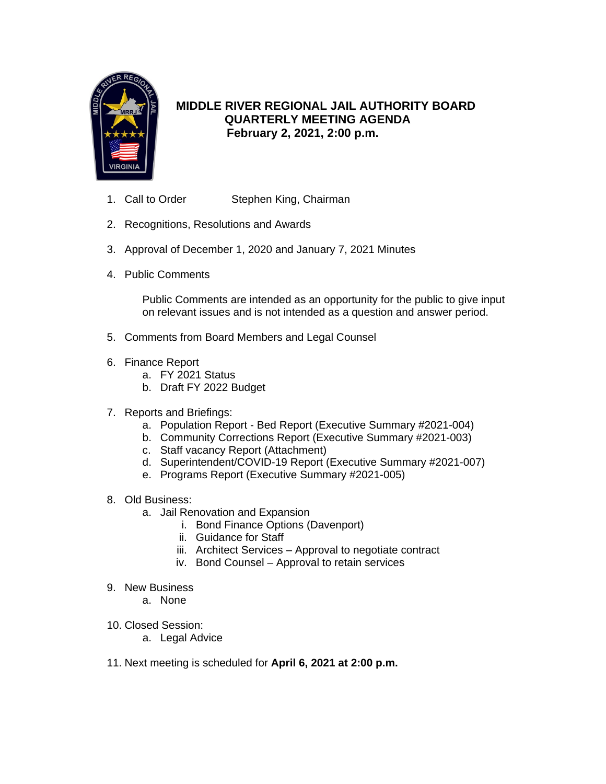

# **MIDDLE RIVER REGIONAL JAIL AUTHORITY BOARD QUARTERLY MEETING AGENDA February 2, 2021, 2:00 p.m.**

- 1. Call to Order Stephen King, Chairman
- 2. Recognitions, Resolutions and Awards
- 3. Approval of December 1, 2020 and January 7, 2021 Minutes
- 4. Public Comments

Public Comments are intended as an opportunity for the public to give input on relevant issues and is not intended as a question and answer period.

- 5. Comments from Board Members and Legal Counsel
- 6. Finance Report
	- a. FY 2021 Status
	- b. Draft FY 2022 Budget
- 7. Reports and Briefings:
	- a. Population Report Bed Report (Executive Summary #2021-004)
	- b. Community Corrections Report (Executive Summary #2021-003)
	- c. Staff vacancy Report (Attachment)
	- d. Superintendent/COVID-19 Report (Executive Summary #2021-007)
	- e. Programs Report (Executive Summary #2021-005)
- 8. Old Business:
	- a. Jail Renovation and Expansion
		- i. Bond Finance Options (Davenport)
		- ii. Guidance for Staff
		- iii. Architect Services Approval to negotiate contract
		- iv. Bond Counsel Approval to retain services
- 9. New Business
	- a. None
- 10. Closed Session:
	- a. Legal Advice
- 11. Next meeting is scheduled for **April 6, 2021 at 2:00 p.m.**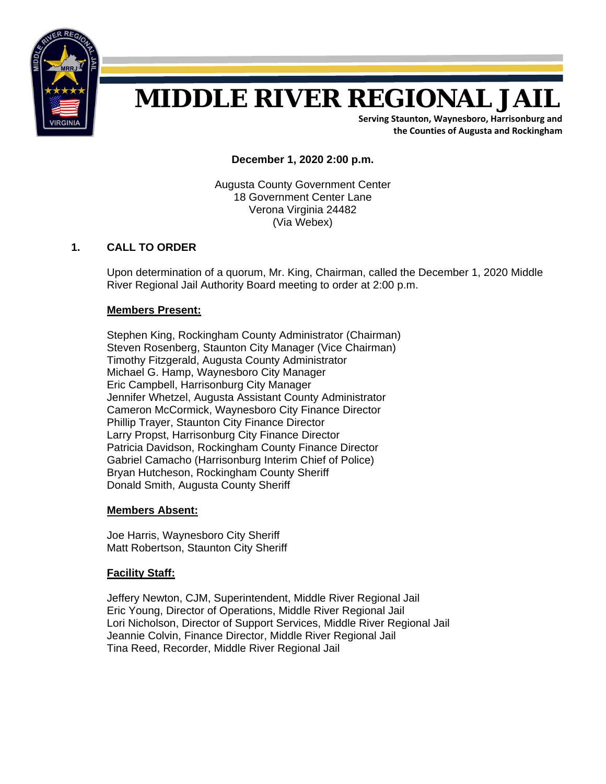

# **MIDDLE RIVER REGIONAL JAIL**

**Serving Staunton, Waynesboro, Harrisonburg and the Counties of Augusta and Rockingham**

**December 1, 2020 2:00 p.m.** 

Augusta County Government Center 18 Government Center Lane Verona Virginia 24482 (Via Webex)

### **1. CALL TO ORDER**

Upon determination of a quorum, Mr. King, Chairman, called the December 1, 2020 Middle River Regional Jail Authority Board meeting to order at 2:00 p.m.

#### **Members Present:**

Stephen King, Rockingham County Administrator (Chairman) Steven Rosenberg, Staunton City Manager (Vice Chairman) Timothy Fitzgerald, Augusta County Administrator Michael G. Hamp, Waynesboro City Manager Eric Campbell, Harrisonburg City Manager Jennifer Whetzel, Augusta Assistant County Administrator Cameron McCormick, Waynesboro City Finance Director Phillip Trayer, Staunton City Finance Director Larry Propst, Harrisonburg City Finance Director Patricia Davidson, Rockingham County Finance Director Gabriel Camacho (Harrisonburg Interim Chief of Police) Bryan Hutcheson, Rockingham County Sheriff Donald Smith, Augusta County Sheriff

#### **Members Absent:**

Joe Harris, Waynesboro City Sheriff Matt Robertson, Staunton City Sheriff

#### **Facility Staff:**

 Jeffery Newton, CJM, Superintendent, Middle River Regional Jail Eric Young, Director of Operations, Middle River Regional Jail Lori Nicholson, Director of Support Services, Middle River Regional Jail Jeannie Colvin, Finance Director, Middle River Regional Jail Tina Reed, Recorder, Middle River Regional Jail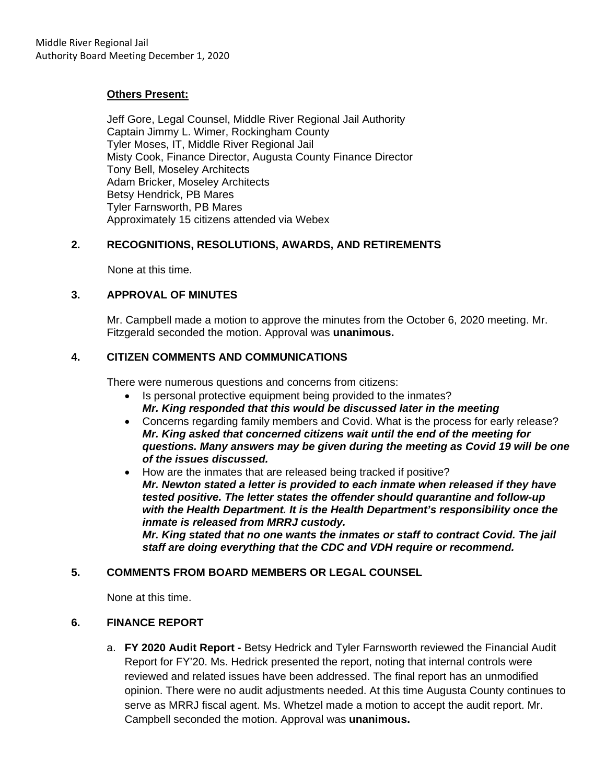#### **Others Present:**

 Jeff Gore, Legal Counsel, Middle River Regional Jail Authority Captain Jimmy L. Wimer, Rockingham County Tyler Moses, IT, Middle River Regional Jail Misty Cook, Finance Director, Augusta County Finance Director Tony Bell, Moseley Architects Adam Bricker, Moseley Architects Betsy Hendrick, PB Mares Tyler Farnsworth, PB Mares Approximately 15 citizens attended via Webex

#### **2. RECOGNITIONS, RESOLUTIONS, AWARDS, AND RETIREMENTS**

None at this time.

#### **3. APPROVAL OF MINUTES**

Mr. Campbell made a motion to approve the minutes from the October 6, 2020 meeting. Mr. Fitzgerald seconded the motion. Approval was **unanimous.**

#### **4. CITIZEN COMMENTS AND COMMUNICATIONS**

There were numerous questions and concerns from citizens:

- Is personal protective equipment being provided to the inmates? *Mr. King responded that this would be discussed later in the meeting*
- Concerns regarding family members and Covid. What is the process for early release? *Mr. King asked that concerned citizens wait until the end of the meeting for questions. Many answers may be given during the meeting as Covid 19 will be one of the issues discussed.*
- How are the inmates that are released being tracked if positive? *Mr. Newton stated a letter is provided to each inmate when released if they have tested positive. The letter states the offender should quarantine and follow-up with the Health Department. It is the Health Department's responsibility once the inmate is released from MRRJ custody. Mr. King stated that no one wants the inmates or staff to contract Covid. The jail staff are doing everything that the CDC and VDH require or recommend.*

#### **5. COMMENTS FROM BOARD MEMBERS OR LEGAL COUNSEL**

None at this time.

#### **6. FINANCE REPORT**

a. **FY 2020 Audit Report -** Betsy Hedrick and Tyler Farnsworth reviewed the Financial Audit Report for FY'20. Ms. Hedrick presented the report, noting that internal controls were reviewed and related issues have been addressed. The final report has an unmodified opinion. There were no audit adjustments needed. At this time Augusta County continues to serve as MRRJ fiscal agent. Ms. Whetzel made a motion to accept the audit report. Mr. Campbell seconded the motion. Approval was **unanimous.**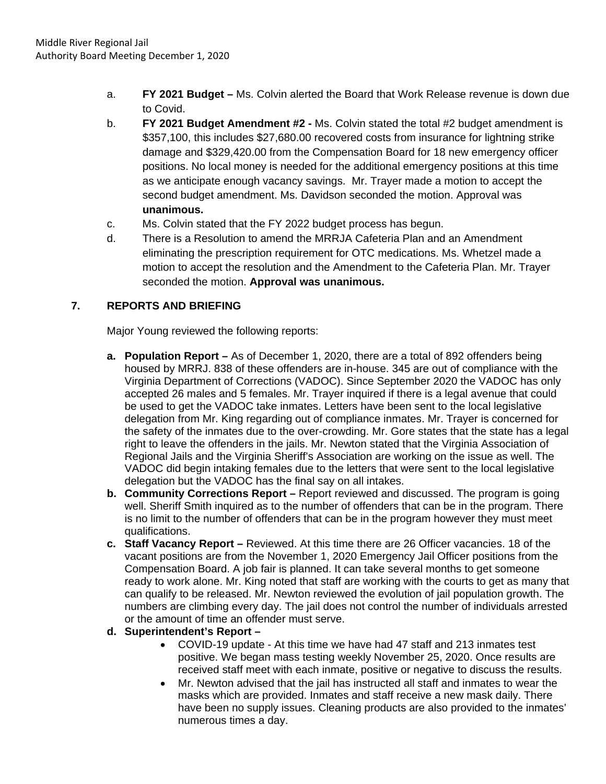- a. **FY 2021 Budget** Ms. Colvin alerted the Board that Work Release revenue is down due to Covid.
- b. **FY 2021 Budget Amendment #2** Ms. Colvin stated the total #2 budget amendment is \$357,100, this includes \$27,680.00 recovered costs from insurance for lightning strike damage and \$329,420.00 from the Compensation Board for 18 new emergency officer positions. No local money is needed for the additional emergency positions at this time as we anticipate enough vacancy savings. Mr. Trayer made a motion to accept the second budget amendment. Ms. Davidson seconded the motion. Approval was **unanimous.**
- c. Ms. Colvin stated that the FY 2022 budget process has begun.
- d. There is a Resolution to amend the MRRJA Cafeteria Plan and an Amendment eliminating the prescription requirement for OTC medications. Ms. Whetzel made a motion to accept the resolution and the Amendment to the Cafeteria Plan. Mr. Trayer seconded the motion. **Approval was unanimous.**

# **7. REPORTS AND BRIEFING**

Major Young reviewed the following reports:

- **a. Population Report** As of December 1, 2020, there are a total of 892 offenders being housed by MRRJ. 838 of these offenders are in-house. 345 are out of compliance with the Virginia Department of Corrections (VADOC). Since September 2020 the VADOC has only accepted 26 males and 5 females. Mr. Trayer inquired if there is a legal avenue that could be used to get the VADOC take inmates. Letters have been sent to the local legislative delegation from Mr. King regarding out of compliance inmates. Mr. Trayer is concerned for the safety of the inmates due to the over-crowding. Mr. Gore states that the state has a legal right to leave the offenders in the jails. Mr. Newton stated that the Virginia Association of Regional Jails and the Virginia Sheriff's Association are working on the issue as well. The VADOC did begin intaking females due to the letters that were sent to the local legislative delegation but the VADOC has the final say on all intakes.
- **b. Community Corrections Report –** Report reviewed and discussed. The program is going well. Sheriff Smith inquired as to the number of offenders that can be in the program. There is no limit to the number of offenders that can be in the program however they must meet qualifications.
- **c. Staff Vacancy Report** Reviewed. At this time there are 26 Officer vacancies. 18 of the vacant positions are from the November 1, 2020 Emergency Jail Officer positions from the Compensation Board. A job fair is planned. It can take several months to get someone ready to work alone. Mr. King noted that staff are working with the courts to get as many that can qualify to be released. Mr. Newton reviewed the evolution of jail population growth. The numbers are climbing every day. The jail does not control the number of individuals arrested or the amount of time an offender must serve.

# **d. Superintendent's Report –**

- COVID-19 update At this time we have had 47 staff and 213 inmates test positive. We began mass testing weekly November 25, 2020. Once results are received staff meet with each inmate, positive or negative to discuss the results.
- Mr. Newton advised that the jail has instructed all staff and inmates to wear the masks which are provided. Inmates and staff receive a new mask daily. There have been no supply issues. Cleaning products are also provided to the inmates' numerous times a day.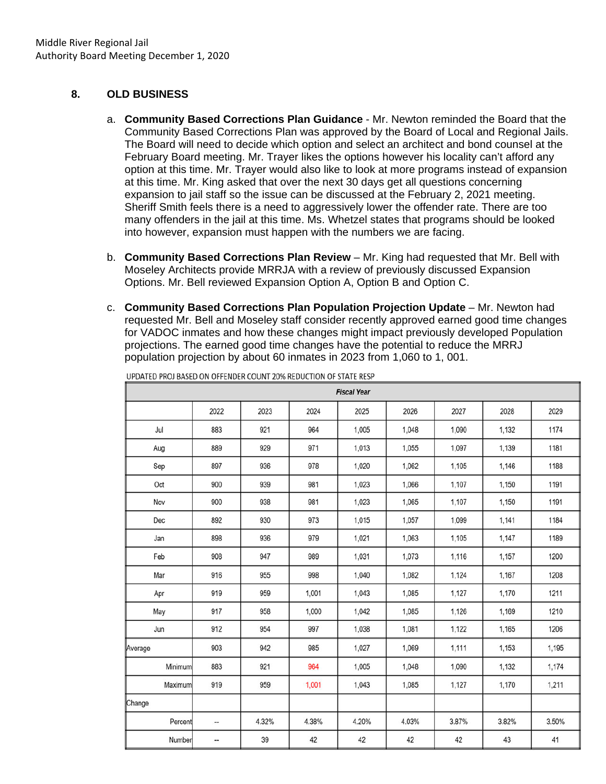#### **8. OLD BUSINESS**

- a. **Community Based Corrections Plan Guidance** Mr. Newton reminded the Board that the Community Based Corrections Plan was approved by the Board of Local and Regional Jails. The Board will need to decide which option and select an architect and bond counsel at the February Board meeting. Mr. Trayer likes the options however his locality can't afford any option at this time. Mr. Trayer would also like to look at more programs instead of expansion at this time. Mr. King asked that over the next 30 days get all questions concerning expansion to jail staff so the issue can be discussed at the February 2, 2021 meeting. Sheriff Smith feels there is a need to aggressively lower the offender rate. There are too many offenders in the jail at this time. Ms. Whetzel states that programs should be looked into however, expansion must happen with the numbers we are facing.
- b. **Community Based Corrections Plan Review** Mr. King had requested that Mr. Bell with Moseley Architects provide MRRJA with a review of previously discussed Expansion Options. Mr. Bell reviewed Expansion Option A, Option B and Option C.
- c. **Community Based Corrections Plan Population Projection Update**  Mr. Newton had requested Mr. Bell and Moseley staff consider recently approved earned good time changes for VADOC inmates and how these changes might impact previously developed Population projections. The earned good time changes have the potential to reduce the MRRJ population projection by about 60 inmates in 2023 from 1,060 to 1, 001.

|         | <b>Fiscal Year</b> |       |       |       |       |       |       |       |  |  |  |  |  |  |  |
|---------|--------------------|-------|-------|-------|-------|-------|-------|-------|--|--|--|--|--|--|--|
|         | 2022               | 2023  | 2024  | 2025  | 2026  | 2027  | 2028  | 2029  |  |  |  |  |  |  |  |
| Jul     | 883                | 921   | 964   | 1,005 | 1,048 | 1,090 | 1,132 | 1174  |  |  |  |  |  |  |  |
| Aug     | 889                | 929   | 971   | 1,013 | 1,055 | 1,097 | 1,139 | 1181  |  |  |  |  |  |  |  |
| Sep     | 897                | 936   | 978   | 1,020 | 1,062 | 1,105 | 1,146 | 1188  |  |  |  |  |  |  |  |
| Oct     | 900                | 939   | 981   | 1,023 | 1,066 | 1,107 | 1,150 | 1191  |  |  |  |  |  |  |  |
| Nov     | 900                | 938   | 981   | 1,023 | 1,065 | 1,107 | 1,150 | 1191  |  |  |  |  |  |  |  |
| Dec     | 892                | 930   | 973   | 1,015 | 1,057 | 1,099 | 1,141 | 1184  |  |  |  |  |  |  |  |
| Jan     | 898                | 936   | 979   | 1,021 | 1,063 | 1,105 | 1,147 | 1189  |  |  |  |  |  |  |  |
| Feb     | 908                | 947   | 989   | 1,031 | 1,073 | 1,116 | 1,157 | 1200  |  |  |  |  |  |  |  |
| Mar     | 916                | 955   | 998   | 1,040 | 1,082 | 1,124 | 1,167 | 1208  |  |  |  |  |  |  |  |
| Apr     | 919                | 959   | 1,001 | 1,043 | 1,085 | 1,127 | 1,170 | 1211  |  |  |  |  |  |  |  |
| May     | 917                | 958   | 1,000 | 1,042 | 1,085 | 1,126 | 1,169 | 1210  |  |  |  |  |  |  |  |
| Jun     | 912                | 954   | 997   | 1,038 | 1,081 | 1,122 | 1,165 | 1206  |  |  |  |  |  |  |  |
| Average | 903                | 942   | 985   | 1,027 | 1,069 | 1,111 | 1,153 | 1,195 |  |  |  |  |  |  |  |
| Minimum | 883                | 921   | 964   | 1,005 | 1,048 | 1,090 | 1,132 | 1,174 |  |  |  |  |  |  |  |
| Maximum | 919                | 959   | 1,001 | 1,043 | 1,085 | 1,127 | 1,170 | 1,211 |  |  |  |  |  |  |  |
| Change  |                    |       |       |       |       |       |       |       |  |  |  |  |  |  |  |
| Percent | -                  | 4.32% | 4.38% | 4.20% | 4.03% | 3.87% | 3.82% | 3.50% |  |  |  |  |  |  |  |
| Number  | ₩,                 | 39    | 42    | 42    | 42    | 42    | 43    | 41    |  |  |  |  |  |  |  |

UPDATED PROJ BASED ON OFFENDER COUNT 20% REDUCTION OF STATE RESP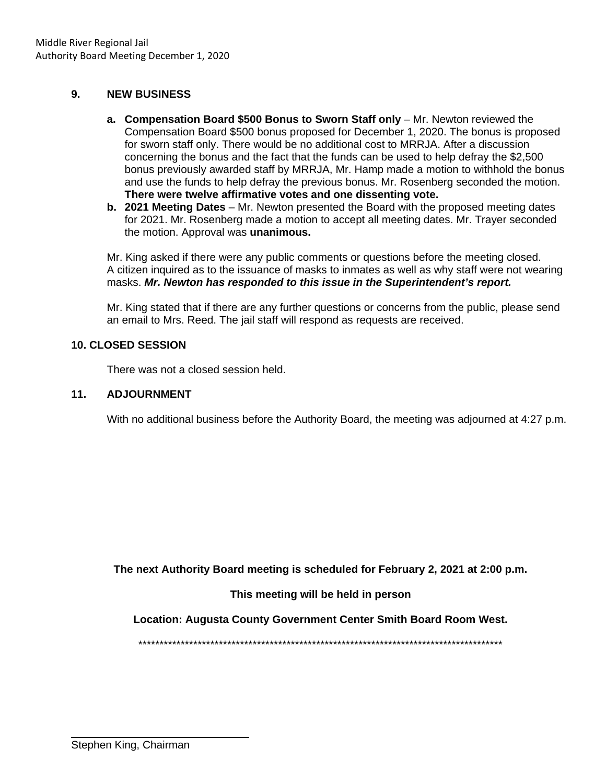#### **9. NEW BUSINESS**

- **a. Compensation Board \$500 Bonus to Sworn Staff only** Mr. Newton reviewed the Compensation Board \$500 bonus proposed for December 1, 2020. The bonus is proposed for sworn staff only. There would be no additional cost to MRRJA. After a discussion concerning the bonus and the fact that the funds can be used to help defray the \$2,500 bonus previously awarded staff by MRRJA, Mr. Hamp made a motion to withhold the bonus and use the funds to help defray the previous bonus. Mr. Rosenberg seconded the motion. **There were twelve affirmative votes and one dissenting vote.**
- **b. 2021 Meeting Dates** Mr. Newton presented the Board with the proposed meeting dates for 2021. Mr. Rosenberg made a motion to accept all meeting dates. Mr. Trayer seconded the motion. Approval was **unanimous.**

Mr. King asked if there were any public comments or questions before the meeting closed. A citizen inquired as to the issuance of masks to inmates as well as why staff were not wearing masks. *Mr. Newton has responded to this issue in the Superintendent's report.* 

Mr. King stated that if there are any further questions or concerns from the public, please send an email to Mrs. Reed. The jail staff will respond as requests are received.

#### **10. CLOSED SESSION**

There was not a closed session held.

### **11. ADJOURNMENT**

With no additional business before the Authority Board, the meeting was adjourned at 4:27 p.m.

**The next Authority Board meeting is scheduled for February 2, 2021 at 2:00 p.m.** 

#### **This meeting will be held in person**

**Location: Augusta County Government Center Smith Board Room West.** 

\*\*\*\*\*\*\*\*\*\*\*\*\*\*\*\*\*\*\*\*\*\*\*\*\*\*\*\*\*\*\*\*\*\*\*\*\*\*\*\*\*\*\*\*\*\*\*\*\*\*\*\*\*\*\*\*\*\*\*\*\*\*\*\*\*\*\*\*\*\*\*\*\*\*\*\*\*\*\*\*\*\*\*\*\*\*

 $\overline{a}$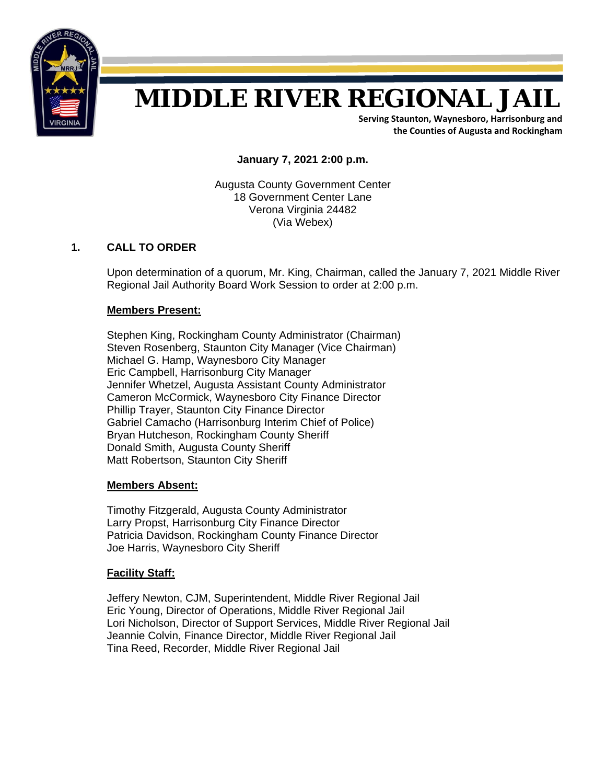

# **MIDDLE RIVER REGIONAL JAIL**

**Serving Staunton, Waynesboro, Harrisonburg and the Counties of Augusta and Rockingham**

**January 7, 2021 2:00 p.m.** 

Augusta County Government Center 18 Government Center Lane Verona Virginia 24482 (Via Webex)

#### **1. CALL TO ORDER**

Upon determination of a quorum, Mr. King, Chairman, called the January 7, 2021 Middle River Regional Jail Authority Board Work Session to order at 2:00 p.m.

#### **Members Present:**

Stephen King, Rockingham County Administrator (Chairman) Steven Rosenberg, Staunton City Manager (Vice Chairman) Michael G. Hamp, Waynesboro City Manager Eric Campbell, Harrisonburg City Manager Jennifer Whetzel, Augusta Assistant County Administrator Cameron McCormick, Waynesboro City Finance Director Phillip Trayer, Staunton City Finance Director Gabriel Camacho (Harrisonburg Interim Chief of Police) Bryan Hutcheson, Rockingham County Sheriff Donald Smith, Augusta County Sheriff Matt Robertson, Staunton City Sheriff

#### **Members Absent:**

Timothy Fitzgerald, Augusta County Administrator Larry Propst, Harrisonburg City Finance Director Patricia Davidson, Rockingham County Finance Director Joe Harris, Waynesboro City Sheriff

#### **Facility Staff:**

 Jeffery Newton, CJM, Superintendent, Middle River Regional Jail Eric Young, Director of Operations, Middle River Regional Jail Lori Nicholson, Director of Support Services, Middle River Regional Jail Jeannie Colvin, Finance Director, Middle River Regional Jail Tina Reed, Recorder, Middle River Regional Jail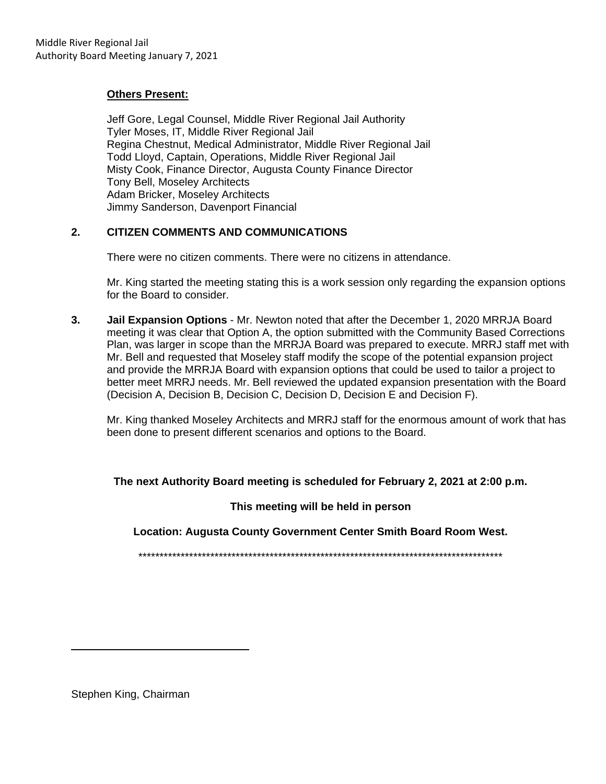#### **Others Present:**

 Jeff Gore, Legal Counsel, Middle River Regional Jail Authority Tyler Moses, IT, Middle River Regional Jail Regina Chestnut, Medical Administrator, Middle River Regional Jail Todd Lloyd, Captain, Operations, Middle River Regional Jail Misty Cook, Finance Director, Augusta County Finance Director Tony Bell, Moseley Architects Adam Bricker, Moseley Architects Jimmy Sanderson, Davenport Financial

#### **2. CITIZEN COMMENTS AND COMMUNICATIONS**

There were no citizen comments. There were no citizens in attendance.

Mr. King started the meeting stating this is a work session only regarding the expansion options for the Board to consider.

**3. Jail Expansion Options** - Mr. Newton noted that after the December 1, 2020 MRRJA Board meeting it was clear that Option A, the option submitted with the Community Based Corrections Plan, was larger in scope than the MRRJA Board was prepared to execute. MRRJ staff met with Mr. Bell and requested that Moseley staff modify the scope of the potential expansion project and provide the MRRJA Board with expansion options that could be used to tailor a project to better meet MRRJ needs. Mr. Bell reviewed the updated expansion presentation with the Board (Decision A, Decision B, Decision C, Decision D, Decision E and Decision F).

Mr. King thanked Moseley Architects and MRRJ staff for the enormous amount of work that has been done to present different scenarios and options to the Board.

#### **The next Authority Board meeting is scheduled for February 2, 2021 at 2:00 p.m.**

**This meeting will be held in person** 

**Location: Augusta County Government Center Smith Board Room West.** 

\*\*\*\*\*\*\*\*\*\*\*\*\*\*\*\*\*\*\*\*\*\*\*\*\*\*\*\*\*\*\*\*\*\*\*\*\*\*\*\*\*\*\*\*\*\*\*\*\*\*\*\*\*\*\*\*\*\*\*\*\*\*\*\*\*\*\*\*\*\*\*\*\*\*\*\*\*\*\*\*\*\*\*\*\*\*

Stephen King, Chairman

L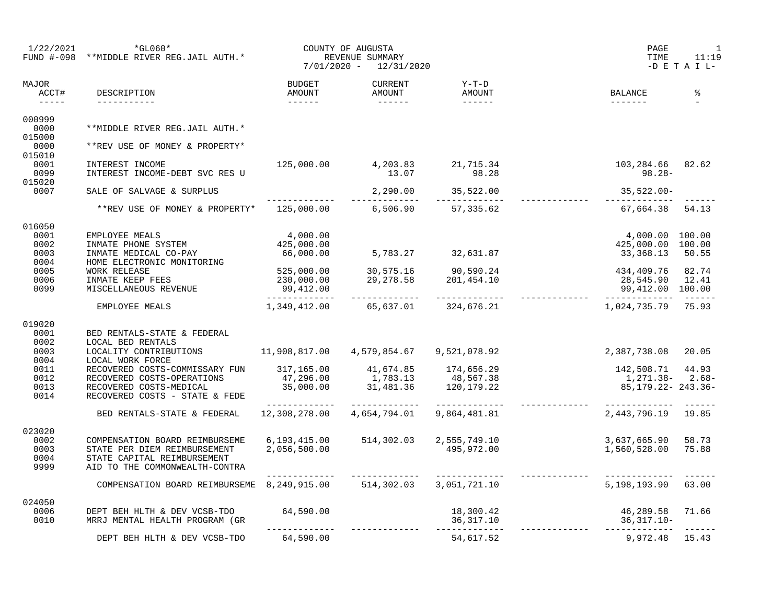| 1/22/2021                                                                                                                                                                                                                                                                                                                                                                                                                                                                                              | $*GLO60*$<br>FUND #-098 **MIDDLE RIVER REG.JAIL AUTH.*         |                          | COUNTY OF AUGUSTA<br>REVENUE SUMMARY<br>7/01/2020 - 12/31/2020 |                                             | PAGE<br>TIME                         | $\overline{\phantom{a}}$<br>11:19<br>$-D$ E T A I L- |
|--------------------------------------------------------------------------------------------------------------------------------------------------------------------------------------------------------------------------------------------------------------------------------------------------------------------------------------------------------------------------------------------------------------------------------------------------------------------------------------------------------|----------------------------------------------------------------|--------------------------|----------------------------------------------------------------|---------------------------------------------|--------------------------------------|------------------------------------------------------|
| MAJOR<br>ACCT#<br>$\begin{tabular}{cccccc} \multicolumn{2}{c}{} & \multicolumn{2}{c}{} & \multicolumn{2}{c}{} & \multicolumn{2}{c}{} & \multicolumn{2}{c}{} & \multicolumn{2}{c}{} & \multicolumn{2}{c}{} & \multicolumn{2}{c}{} & \multicolumn{2}{c}{} & \multicolumn{2}{c}{} & \multicolumn{2}{c}{} & \multicolumn{2}{c}{} & \multicolumn{2}{c}{} & \multicolumn{2}{c}{} & \multicolumn{2}{c}{} & \multicolumn{2}{c}{} & \multicolumn{2}{c}{} & \multicolumn{2}{c}{} & \multicolumn{2}{c}{} & \mult$ | DESCRIPTION<br>___________                                     | BUDGET<br>AMOUNT         | CURRENT<br>AMOUNT<br>_________                                 | $Y-T-D$<br>AMOUNT                           | BALANCE                              | နွ                                                   |
| 000999<br>0000                                                                                                                                                                                                                                                                                                                                                                                                                                                                                         | **MIDDLE RIVER REG.JAIL AUTH.*                                 |                          |                                                                |                                             |                                      |                                                      |
| 015000<br>0000                                                                                                                                                                                                                                                                                                                                                                                                                                                                                         | **REV USE OF MONEY & PROPERTY*                                 |                          |                                                                |                                             |                                      |                                                      |
| 015010                                                                                                                                                                                                                                                                                                                                                                                                                                                                                                 |                                                                |                          |                                                                |                                             |                                      |                                                      |
| 0001<br>0099                                                                                                                                                                                                                                                                                                                                                                                                                                                                                           | INTEREST INCOME<br>INTEREST INCOME-DEBT SVC RES U              | 125,000.00               | 4, 203.83 21, 715.34<br>13.07 98.28                            | 98.28                                       | 103,284.66 82.62<br>$98.28 -$        |                                                      |
| 015020                                                                                                                                                                                                                                                                                                                                                                                                                                                                                                 |                                                                |                          |                                                                |                                             |                                      |                                                      |
| 0007                                                                                                                                                                                                                                                                                                                                                                                                                                                                                                   | SALE OF SALVAGE & SURPLUS                                      | _____________            |                                                                | 2,290.00 35,522.00                          | 35,522.00-<br>______________         |                                                      |
|                                                                                                                                                                                                                                                                                                                                                                                                                                                                                                        | **REV USE OF MONEY & PROPERTY* 125,000.00 6,506.90 57,335.62   |                          |                                                                |                                             | 67,664.38 54.13                      |                                                      |
| 016050                                                                                                                                                                                                                                                                                                                                                                                                                                                                                                 |                                                                |                          |                                                                |                                             |                                      |                                                      |
| 0001                                                                                                                                                                                                                                                                                                                                                                                                                                                                                                   | EMPLOYEE MEALS                                                 | 4,000.00                 |                                                                |                                             | 4,000.00 100.00                      |                                                      |
| 0002                                                                                                                                                                                                                                                                                                                                                                                                                                                                                                   |                                                                | 425,000.00               |                                                                |                                             | 425,000.00 100.00                    |                                                      |
| 0003                                                                                                                                                                                                                                                                                                                                                                                                                                                                                                   | INMATE PHONE SYSTEM<br>INMATE MEDICAL CO-PAY                   | 66,000.00                |                                                                | 5,783.27 32,631.87                          | 33,368.13 50.55                      |                                                      |
| 0004                                                                                                                                                                                                                                                                                                                                                                                                                                                                                                   | HOME ELECTRONIC MONITORING                                     |                          |                                                                |                                             |                                      |                                                      |
| 0005                                                                                                                                                                                                                                                                                                                                                                                                                                                                                                   | WORK RELEASE<br>INMATE KEEP FEES                               | 525,000.00<br>230,000.00 |                                                                |                                             | 434,409.76 82.74                     |                                                      |
| 0006<br>0099                                                                                                                                                                                                                                                                                                                                                                                                                                                                                           | MISCELLANEOUS REVENUE                                          | 99,412.00                |                                                                | 30,575.16 90,590.24<br>29,278.58 201,454.10 | 28,545.90 12.41<br>99,412.00 100.00  |                                                      |
|                                                                                                                                                                                                                                                                                                                                                                                                                                                                                                        |                                                                |                          |                                                                |                                             |                                      |                                                      |
|                                                                                                                                                                                                                                                                                                                                                                                                                                                                                                        | EMPLOYEE MEALS                                                 | 1,349,412.00             |                                                                | 65,637.01 324,676.21                        | 1,024,735.79                         | 75.93                                                |
| 019020                                                                                                                                                                                                                                                                                                                                                                                                                                                                                                 |                                                                |                          |                                                                |                                             |                                      |                                                      |
| 0001                                                                                                                                                                                                                                                                                                                                                                                                                                                                                                   | BED RENTALS-STATE & FEDERAL                                    |                          |                                                                |                                             |                                      |                                                      |
| 0002                                                                                                                                                                                                                                                                                                                                                                                                                                                                                                   | LOCAL BED RENTALS                                              |                          |                                                                |                                             |                                      |                                                      |
| 0003<br>0004                                                                                                                                                                                                                                                                                                                                                                                                                                                                                           | LOCALITY CONTRIBUTIONS 11,908,817.00<br>LOCAL WORK FORCE       |                          |                                                                | 4,579,854.67 9,521,078.92                   | 2,387,738.08                         | 20.05                                                |
| 0011                                                                                                                                                                                                                                                                                                                                                                                                                                                                                                   | RECOVERED COSTS-COMMISSARY FUN 317,165.00 41,674.85 174,656.29 |                          |                                                                |                                             | 142,508.71 44.93                     |                                                      |
| 0012                                                                                                                                                                                                                                                                                                                                                                                                                                                                                                   | RECOVERED COSTS-OPERATIONS                                     | 47,296.00<br>35,000.00   | $1,783.13$<br>$31,481.36$<br>$120,179.22$                      |                                             | $1,271.38 - 2.68 - 85.179$           |                                                      |
| 0013                                                                                                                                                                                                                                                                                                                                                                                                                                                                                                   | RECOVERED COSTS-MEDICAL                                        |                          |                                                                |                                             |                                      |                                                      |
| 0014                                                                                                                                                                                                                                                                                                                                                                                                                                                                                                   | RECOVERED COSTS - STATE & FEDE                                 |                          |                                                                |                                             |                                      |                                                      |
|                                                                                                                                                                                                                                                                                                                                                                                                                                                                                                        | BED RENTALS-STATE & FEDERAL                                    | 12,308,278.00            | 4,654,794.01                                                   | 9,864,481.81                                | --------------<br>2,443,796.19 19.85 |                                                      |
| 023020                                                                                                                                                                                                                                                                                                                                                                                                                                                                                                 |                                                                |                          |                                                                |                                             |                                      |                                                      |
| 0002                                                                                                                                                                                                                                                                                                                                                                                                                                                                                                   | COMPENSATION BOARD REIMBURSEME                                 | 6, 193, 415.00           | 514,302.03                                                     | 2,555,749.10                                | 3,637,665.90                         | 58.73                                                |
| 0003                                                                                                                                                                                                                                                                                                                                                                                                                                                                                                   | STATE PER DIEM REIMBURSEMENT                                   | 2,056,500.00             |                                                                | 495,972.00                                  | 1,560,528.00                         | 75.88                                                |
| 0004                                                                                                                                                                                                                                                                                                                                                                                                                                                                                                   | STATE CAPITAL REIMBURSEMENT                                    |                          |                                                                |                                             |                                      |                                                      |
| 9999                                                                                                                                                                                                                                                                                                                                                                                                                                                                                                   | AID TO THE COMMONWEALTH-CONTRA                                 |                          |                                                                |                                             |                                      |                                                      |
|                                                                                                                                                                                                                                                                                                                                                                                                                                                                                                        | COMPENSATION BOARD REIMBURSEME 8,249,915.00 514,302.03         |                          | ______________                                                 | ______________<br>3,051,721.10              | 5,198,193.90                         | 63.00                                                |
|                                                                                                                                                                                                                                                                                                                                                                                                                                                                                                        |                                                                |                          |                                                                |                                             |                                      |                                                      |
| 024050<br>0006                                                                                                                                                                                                                                                                                                                                                                                                                                                                                         | DEPT BEH HLTH & DEV VCSB-TDO                                   | 64,590.00                |                                                                | 18,300.42                                   |                                      |                                                      |
| 0010                                                                                                                                                                                                                                                                                                                                                                                                                                                                                                   | MRRJ MENTAL HEALTH PROGRAM (GR                                 |                          |                                                                | 36,317.10                                   | 46,289.58 71.66<br>36,317 10         |                                                      |
|                                                                                                                                                                                                                                                                                                                                                                                                                                                                                                        |                                                                | -------------            |                                                                | -------------                               |                                      |                                                      |
|                                                                                                                                                                                                                                                                                                                                                                                                                                                                                                        | DEPT BEH HLTH & DEV VCSB-TDO                                   | 64,590.00                |                                                                | 54,617.52                                   | 9,972.48 15.43                       |                                                      |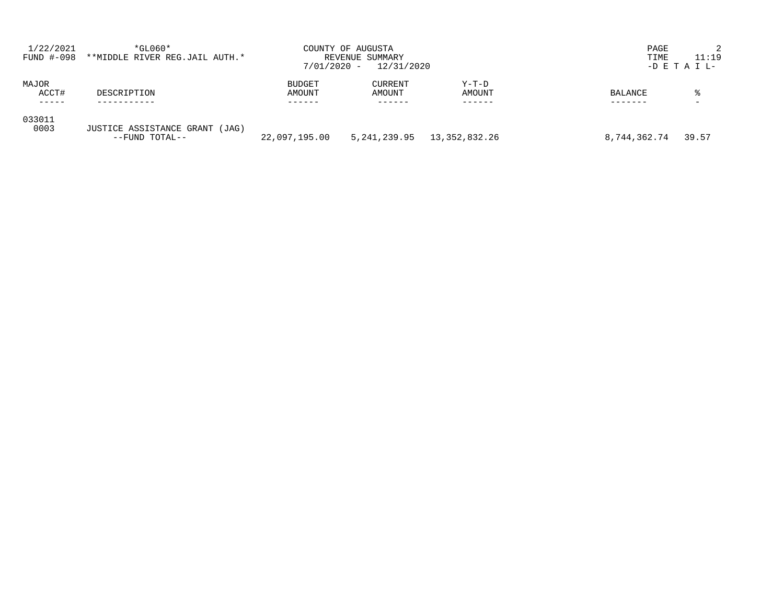| 1/22/2021<br>FUND #-098 | $*GLO60*$<br>**MIDDLE RIVER REG.JAIL AUTH.*      | $7/01/2020 -$           | COUNTY OF AUGUSTA<br>REVENUE SUMMARY<br>12/31/2020 |                   | PAGE<br>TIME   | 11:19<br>$-D$ E T A I L- |
|-------------------------|--------------------------------------------------|-------------------------|----------------------------------------------------|-------------------|----------------|--------------------------|
| MAJOR<br>ACCT#          | DESCRIPTION                                      | <b>BUDGET</b><br>AMOUNT | <b>CURRENT</b><br>AMOUNT                           | $Y-T-D$<br>AMOUNT | <b>BALANCE</b> | °                        |
| 033011<br>0003          | JUSTICE ASSISTANCE GRANT (JAG)<br>--FUND TOTAL-- | 22,097,195.00           | 5,241,239.95                                       | 13,352,832.26     | 8,744,362.74   | 39.57                    |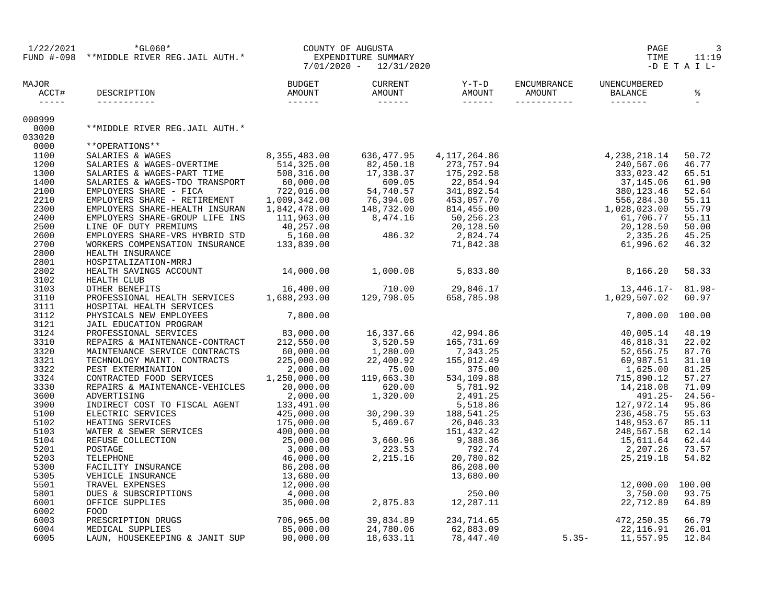|                                                                                                                                                                                                                                                                                                                                                                                                                | $1/22/2021 \begin{array}{l} \star_{\rm GL060} \star \\ \star_{\rm WIDDLE~RIVER~REG.JAIL~AUTH.* \end{array} \begin{array}{l} {\rm COUNTY~OF~AUGUSTA} \\ \star_{\rm EXPENDITURE~SUMMARY} \\ 7/01/2020 \end{array} \end{array}$                                                                                                                                                                                                                                                            |           |                                                                    |           | PAGE<br>TIME                                                                                                                                                                                                                                                           | 3<br>11:19<br>$-D$ E T A I L- |
|----------------------------------------------------------------------------------------------------------------------------------------------------------------------------------------------------------------------------------------------------------------------------------------------------------------------------------------------------------------------------------------------------------------|-----------------------------------------------------------------------------------------------------------------------------------------------------------------------------------------------------------------------------------------------------------------------------------------------------------------------------------------------------------------------------------------------------------------------------------------------------------------------------------------|-----------|--------------------------------------------------------------------|-----------|------------------------------------------------------------------------------------------------------------------------------------------------------------------------------------------------------------------------------------------------------------------------|-------------------------------|
| MAJOR<br>ACCT#<br>$\frac{1}{2} \frac{1}{2} \frac{1}{2} \frac{1}{2} \frac{1}{2} \frac{1}{2} \frac{1}{2} \frac{1}{2} \frac{1}{2} \frac{1}{2} \frac{1}{2} \frac{1}{2} \frac{1}{2} \frac{1}{2} \frac{1}{2} \frac{1}{2} \frac{1}{2} \frac{1}{2} \frac{1}{2} \frac{1}{2} \frac{1}{2} \frac{1}{2} \frac{1}{2} \frac{1}{2} \frac{1}{2} \frac{1}{2} \frac{1}{2} \frac{1}{2} \frac{1}{2} \frac{1}{2} \frac{1}{2} \frac{$ |                                                                                                                                                                                                                                                                                                                                                                                                                                                                                         |           |                                                                    |           |                                                                                                                                                                                                                                                                        |                               |
| 000999                                                                                                                                                                                                                                                                                                                                                                                                         |                                                                                                                                                                                                                                                                                                                                                                                                                                                                                         |           |                                                                    |           |                                                                                                                                                                                                                                                                        |                               |
| 0000                                                                                                                                                                                                                                                                                                                                                                                                           | **MIDDLE RIVER REG.JAIL AUTH.*                                                                                                                                                                                                                                                                                                                                                                                                                                                          |           |                                                                    |           |                                                                                                                                                                                                                                                                        |                               |
| 033020                                                                                                                                                                                                                                                                                                                                                                                                         |                                                                                                                                                                                                                                                                                                                                                                                                                                                                                         |           |                                                                    |           |                                                                                                                                                                                                                                                                        |                               |
| 0000                                                                                                                                                                                                                                                                                                                                                                                                           | **OPERATIONS**                                                                                                                                                                                                                                                                                                                                                                                                                                                                          |           |                                                                    |           |                                                                                                                                                                                                                                                                        |                               |
| 1100<br>1200                                                                                                                                                                                                                                                                                                                                                                                                   |                                                                                                                                                                                                                                                                                                                                                                                                                                                                                         |           |                                                                    |           |                                                                                                                                                                                                                                                                        | 50.72<br>46.77                |
| 1300                                                                                                                                                                                                                                                                                                                                                                                                           | $\begin{tabular}{l c c c c c} \texttt{\textbf{*} \mbox{OPERATIONS}} & \texttt{\textbf{*} \mbox{A}} & \texttt{\textbf{0}} & \texttt{\textbf{0}} & \texttt{\textbf{0}} & \texttt{\textbf{0}} & \texttt{\textbf{0}} & \texttt{\textbf{0}} & \texttt{\textbf{0}} & \texttt{\textbf{0}} & \texttt{\textbf{0}} & \texttt{\textbf{0}} & \texttt{\textbf{0}} & \texttt{\textbf{0}} & \texttt{\textbf{0}} & \texttt{\textbf{0}} & \texttt{\textbf{0}} & \texttt{\textbf{0}} & \texttt{\textbf{0$ |           |                                                                    |           |                                                                                                                                                                                                                                                                        | 65.51                         |
| 1400                                                                                                                                                                                                                                                                                                                                                                                                           |                                                                                                                                                                                                                                                                                                                                                                                                                                                                                         |           |                                                                    |           |                                                                                                                                                                                                                                                                        | 61.90                         |
| 2100                                                                                                                                                                                                                                                                                                                                                                                                           |                                                                                                                                                                                                                                                                                                                                                                                                                                                                                         |           |                                                                    |           |                                                                                                                                                                                                                                                                        | 52.64                         |
| 2210                                                                                                                                                                                                                                                                                                                                                                                                           |                                                                                                                                                                                                                                                                                                                                                                                                                                                                                         |           |                                                                    |           |                                                                                                                                                                                                                                                                        | 55.11                         |
| 2300                                                                                                                                                                                                                                                                                                                                                                                                           |                                                                                                                                                                                                                                                                                                                                                                                                                                                                                         |           |                                                                    |           |                                                                                                                                                                                                                                                                        | 55.79                         |
| 2400                                                                                                                                                                                                                                                                                                                                                                                                           |                                                                                                                                                                                                                                                                                                                                                                                                                                                                                         |           |                                                                    |           |                                                                                                                                                                                                                                                                        | 55.11                         |
| 2500                                                                                                                                                                                                                                                                                                                                                                                                           |                                                                                                                                                                                                                                                                                                                                                                                                                                                                                         |           |                                                                    |           |                                                                                                                                                                                                                                                                        | 50.00                         |
| 2600                                                                                                                                                                                                                                                                                                                                                                                                           |                                                                                                                                                                                                                                                                                                                                                                                                                                                                                         |           |                                                                    |           |                                                                                                                                                                                                                                                                        | 45.25                         |
| 2700                                                                                                                                                                                                                                                                                                                                                                                                           |                                                                                                                                                                                                                                                                                                                                                                                                                                                                                         |           |                                                                    |           |                                                                                                                                                                                                                                                                        | 46.32                         |
| 2800                                                                                                                                                                                                                                                                                                                                                                                                           | HEALTH INSURANCE                                                                                                                                                                                                                                                                                                                                                                                                                                                                        |           |                                                                    |           |                                                                                                                                                                                                                                                                        |                               |
| 2801                                                                                                                                                                                                                                                                                                                                                                                                           |                                                                                                                                                                                                                                                                                                                                                                                                                                                                                         |           |                                                                    |           |                                                                                                                                                                                                                                                                        |                               |
| 2802                                                                                                                                                                                                                                                                                                                                                                                                           |                                                                                                                                                                                                                                                                                                                                                                                                                                                                                         |           |                                                                    |           |                                                                                                                                                                                                                                                                        | 58.33                         |
| 3102                                                                                                                                                                                                                                                                                                                                                                                                           |                                                                                                                                                                                                                                                                                                                                                                                                                                                                                         |           |                                                                    |           |                                                                                                                                                                                                                                                                        |                               |
| 3103                                                                                                                                                                                                                                                                                                                                                                                                           |                                                                                                                                                                                                                                                                                                                                                                                                                                                                                         |           |                                                                    |           | 13,446.17- 81.98-                                                                                                                                                                                                                                                      |                               |
| 3110                                                                                                                                                                                                                                                                                                                                                                                                           |                                                                                                                                                                                                                                                                                                                                                                                                                                                                                         |           |                                                                    |           |                                                                                                                                                                                                                                                                        | 60.97                         |
| 3111                                                                                                                                                                                                                                                                                                                                                                                                           | HOSPITAL HEALTH SERVICES                                                                                                                                                                                                                                                                                                                                                                                                                                                                |           |                                                                    |           |                                                                                                                                                                                                                                                                        |                               |
| 3112                                                                                                                                                                                                                                                                                                                                                                                                           | HOSPITAL HEALTH SERVICES<br>PHYSICALS NEW EMPLOYEES 7,800.00<br>JAIL EDUCATION PROGRAM<br>PROFESSIONAL SERVICES 83,000.00<br>REPAIRS & MAINTENANCE-CONTRACT 212,550.00<br>MAINTENANCE SERVICE CONTRACTS 60,000.00<br>TECHNOLOGY MAINT. CON                                                                                                                                                                                                                                              |           |                                                                    |           | 7,800.00 100.00                                                                                                                                                                                                                                                        |                               |
| 3121                                                                                                                                                                                                                                                                                                                                                                                                           |                                                                                                                                                                                                                                                                                                                                                                                                                                                                                         |           |                                                                    |           |                                                                                                                                                                                                                                                                        |                               |
| 3124                                                                                                                                                                                                                                                                                                                                                                                                           |                                                                                                                                                                                                                                                                                                                                                                                                                                                                                         |           |                                                                    |           |                                                                                                                                                                                                                                                                        |                               |
| 3310                                                                                                                                                                                                                                                                                                                                                                                                           |                                                                                                                                                                                                                                                                                                                                                                                                                                                                                         |           |                                                                    |           |                                                                                                                                                                                                                                                                        |                               |
| 3320                                                                                                                                                                                                                                                                                                                                                                                                           |                                                                                                                                                                                                                                                                                                                                                                                                                                                                                         |           |                                                                    |           |                                                                                                                                                                                                                                                                        |                               |
| 3321<br>3322                                                                                                                                                                                                                                                                                                                                                                                                   |                                                                                                                                                                                                                                                                                                                                                                                                                                                                                         |           |                                                                    |           |                                                                                                                                                                                                                                                                        |                               |
| 3324                                                                                                                                                                                                                                                                                                                                                                                                           |                                                                                                                                                                                                                                                                                                                                                                                                                                                                                         |           |                                                                    |           |                                                                                                                                                                                                                                                                        |                               |
| 3330                                                                                                                                                                                                                                                                                                                                                                                                           |                                                                                                                                                                                                                                                                                                                                                                                                                                                                                         |           |                                                                    |           |                                                                                                                                                                                                                                                                        |                               |
| 3600                                                                                                                                                                                                                                                                                                                                                                                                           | ADVERTISING                                                                                                                                                                                                                                                                                                                                                                                                                                                                             | 2,000.00  |                                                                    |           |                                                                                                                                                                                                                                                                        | $491.25 - 24.56 -$            |
| 3900                                                                                                                                                                                                                                                                                                                                                                                                           |                                                                                                                                                                                                                                                                                                                                                                                                                                                                                         |           |                                                                    |           |                                                                                                                                                                                                                                                                        |                               |
| 5100                                                                                                                                                                                                                                                                                                                                                                                                           |                                                                                                                                                                                                                                                                                                                                                                                                                                                                                         |           |                                                                    |           |                                                                                                                                                                                                                                                                        |                               |
| 5102                                                                                                                                                                                                                                                                                                                                                                                                           |                                                                                                                                                                                                                                                                                                                                                                                                                                                                                         |           |                                                                    |           |                                                                                                                                                                                                                                                                        |                               |
| 5103                                                                                                                                                                                                                                                                                                                                                                                                           |                                                                                                                                                                                                                                                                                                                                                                                                                                                                                         |           |                                                                    |           |                                                                                                                                                                                                                                                                        |                               |
| 5104                                                                                                                                                                                                                                                                                                                                                                                                           |                                                                                                                                                                                                                                                                                                                                                                                                                                                                                         |           |                                                                    |           |                                                                                                                                                                                                                                                                        |                               |
| 5201                                                                                                                                                                                                                                                                                                                                                                                                           |                                                                                                                                                                                                                                                                                                                                                                                                                                                                                         |           |                                                                    |           |                                                                                                                                                                                                                                                                        |                               |
| 5203                                                                                                                                                                                                                                                                                                                                                                                                           |                                                                                                                                                                                                                                                                                                                                                                                                                                                                                         |           |                                                                    |           |                                                                                                                                                                                                                                                                        |                               |
| 5300                                                                                                                                                                                                                                                                                                                                                                                                           | ADVERTISING 2,000.00<br>INDIRECT COST TO FISCAL AGENT 133,491.00<br>ELECTRIC SERVICES 425,000.00<br>HEATING SERVICES 175,000.00<br>WATER & SEWER SERVICES 175,000.00<br>WATER & SEWER SERVICES 400,000.00<br>POSTAGE COLLECTION 25,000.00<br>                                                                                                                                                                                                                                           |           |                                                                    |           | $\begin{array}{cccccc} 16,337.66 & 42,994.86 & 7,800.00 & 100.00 \\ 1,520.59 & 165,731.69 & 40,005.14 & 48.19 \\ 1,280.00 & 7,343.25 & 46,818.31 & 22.07.6 \\ 22,400.92 & 155,012.49 & 69,987.51 & 31.10 \\ 75,00 & 375.00 & 5,781.92 & 75.00 \\ 69,987.51 & 31.10 & $ |                               |
| 5305                                                                                                                                                                                                                                                                                                                                                                                                           |                                                                                                                                                                                                                                                                                                                                                                                                                                                                                         |           |                                                                    |           |                                                                                                                                                                                                                                                                        |                               |
| 5501                                                                                                                                                                                                                                                                                                                                                                                                           |                                                                                                                                                                                                                                                                                                                                                                                                                                                                                         |           |                                                                    |           |                                                                                                                                                                                                                                                                        |                               |
| 5801                                                                                                                                                                                                                                                                                                                                                                                                           |                                                                                                                                                                                                                                                                                                                                                                                                                                                                                         |           |                                                                    |           |                                                                                                                                                                                                                                                                        |                               |
| 6001                                                                                                                                                                                                                                                                                                                                                                                                           |                                                                                                                                                                                                                                                                                                                                                                                                                                                                                         |           |                                                                    |           |                                                                                                                                                                                                                                                                        |                               |
| 6002                                                                                                                                                                                                                                                                                                                                                                                                           |                                                                                                                                                                                                                                                                                                                                                                                                                                                                                         |           |                                                                    |           | $234, 714.65$<br>$62, 883.09$<br>$78, 447.40$<br>$22, 116.91$<br>$525$<br>$62, 116.91$<br>$625$<br>$75, 62$                                                                                                                                                            |                               |
| 6003                                                                                                                                                                                                                                                                                                                                                                                                           | עטט<br>PRESCRIPTION DRUGS 706,965.00<br>MEDICAL SUPPLIES 85,000.00                                                                                                                                                                                                                                                                                                                                                                                                                      |           | 39,834.89 234,714.65<br>24,780.06 62,883.09<br>18.633.11 78,447.40 |           |                                                                                                                                                                                                                                                                        | 66.79                         |
| 6004                                                                                                                                                                                                                                                                                                                                                                                                           |                                                                                                                                                                                                                                                                                                                                                                                                                                                                                         |           |                                                                    |           |                                                                                                                                                                                                                                                                        | 26.01                         |
| 6005                                                                                                                                                                                                                                                                                                                                                                                                           | LAUN, HOUSEKEEPING & JANIT SUP                                                                                                                                                                                                                                                                                                                                                                                                                                                          | 90,000.00 | 18,633.11                                                          | 78,447.40 |                                                                                                                                                                                                                                                                        | 12.84                         |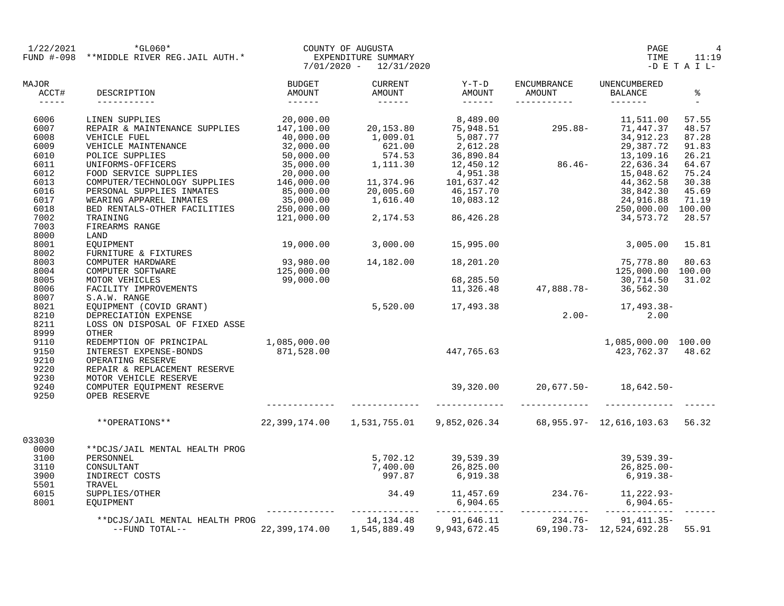| 1/22/2021                                | *GL060*<br>FUND #-098 **MIDDLE RIVER REG.JAIL AUTH.* |                          | COUNTY OF AUGUSTA<br>EXPENDITURE SUMMARY                                   |                                                                                                                                                                             | PAGE<br>TIME                                                                                  | 11:19                               |                 |
|------------------------------------------|------------------------------------------------------|--------------------------|----------------------------------------------------------------------------|-----------------------------------------------------------------------------------------------------------------------------------------------------------------------------|-----------------------------------------------------------------------------------------------|-------------------------------------|-----------------|
|                                          |                                                      |                          | $7/01/2020 - 12/31/2020$                                                   |                                                                                                                                                                             |                                                                                               |                                     | $-D$ E T A I L- |
| MAJOR<br>ACCT#<br>$\cdots \cdots \cdots$ | AMOUNT<br>DESCRIPTION<br>------------                | BUDGET                   | <b>CURRENT</b><br>AMOUNT<br>-------                                        | $Y-T-D$<br>AMOUNT                                                                                                                                                           | ENCUMBRANCE<br>AMOUNT<br>-----------                                                          | UNENCUMBERED<br>BALANCE<br>-------- | ႜ<br>$\equiv$   |
| 6006                                     | LINEN SUPPLIES                                       | 20,000.00                |                                                                            | 8,489.00                                                                                                                                                                    |                                                                                               | 11,511.00                           | 57.55           |
| 6007                                     | REPAIR & MAINTENANCE SUPPLIES                        | 147,100.00               | 20,153.80                                                                  |                                                                                                                                                                             | $75,948.51$<br>$5,087.77$<br>$2,612.28$<br>$36,890.84$<br>$12,450.12$<br>$450.12$<br>$86.46-$ | 295.88- 71,447.37                   | 48.57           |
| 6008                                     | VEHICLE FUEL                                         | 40,000.00                | 1,009.01                                                                   |                                                                                                                                                                             |                                                                                               | 34,912.23                           | 87.28           |
| 6009                                     | VEHICLE MAINTENANCE                                  | $32,000.00$<br>50,000.00 | 621.00                                                                     |                                                                                                                                                                             |                                                                                               | 29,387.72                           | 91.83           |
| 6010                                     | POLICE SUPPLIES                                      |                          | 574.53                                                                     |                                                                                                                                                                             |                                                                                               | 13,109.16                           | 26.21           |
| 6011                                     |                                                      | 35,000.00                | 1,111.30                                                                   |                                                                                                                                                                             |                                                                                               | 22,636.34                           | 64.67           |
| 6012                                     | UNIFORMS-OFFICERS<br>FOOD SERVICE SUPPLIES           | 20,000.00                |                                                                            |                                                                                                                                                                             |                                                                                               | 15,048.62                           | 75.24           |
| 6013                                     | COMPUTER/TECHNOLOGY SUPPLIES                         | 146,000.00               |                                                                            |                                                                                                                                                                             |                                                                                               | 44,362.58                           | 30.38           |
| 6016                                     | PERSONAL SUPPLIES INMATES                            | 85,000.00                |                                                                            |                                                                                                                                                                             |                                                                                               | 38,842.30                           | 45.69           |
| 6017                                     | WEARING APPAREL INMATES                              | 35,000.00                |                                                                            |                                                                                                                                                                             |                                                                                               | 24,916.88                           | 71.19           |
| 6018                                     | BED RENTALS-OTHER FACILITIES                         | 250,000.00               |                                                                            | $\begin{array}{cccc}\n 1,111.30 & 12,138 \\  4,951.38 \\  11,374.96 & 101,637.42 \\  20,005.60 & 46,157.70 \\  1,616.40 & 10,083.12 \\  2,174.53 & 86,426.28\n \end{array}$ |                                                                                               | 250,000.00 100.00                   |                 |
| 7002                                     | TRAINING                                             | 121,000.00               |                                                                            |                                                                                                                                                                             |                                                                                               | 34,573.72                           | 28.57           |
| 7003                                     | FIREARMS RANGE                                       |                          |                                                                            |                                                                                                                                                                             |                                                                                               |                                     |                 |
| 8000                                     | LAND                                                 |                          |                                                                            |                                                                                                                                                                             |                                                                                               |                                     |                 |
| 8001                                     |                                                      | 19,000.00                | 3,000.00                                                                   | 15,995.00                                                                                                                                                                   |                                                                                               | 3,005.00                            | 15.81           |
| 8002                                     | -----<br>EQUIPMENT<br>FURNITURE & FIXTURES           |                          |                                                                            |                                                                                                                                                                             |                                                                                               |                                     |                 |
| 8003                                     | COMPUTER HARDWARE                                    |                          | 14,182.00                                                                  | 18,201.20                                                                                                                                                                   |                                                                                               | 75,778.80                           | 80.63           |
| 8004                                     | COMPUTER SOFTWARE                                    | 93,980.00<br>125,000.00  |                                                                            |                                                                                                                                                                             |                                                                                               | 125,000.00 100.00                   |                 |
| 8005                                     |                                                      | 99,000.00                |                                                                            |                                                                                                                                                                             |                                                                                               | 30,714.50                           | 31.02           |
| 8006                                     | MOTOR VEHICLES<br>FACILITY IMPROVEMENTS              |                          |                                                                            |                                                                                                                                                                             |                                                                                               |                                     |                 |
| 8007                                     | S.A.W. RANGE                                         |                          |                                                                            |                                                                                                                                                                             |                                                                                               |                                     |                 |
| 8021                                     | EQUIPMENT (COVID GRANT)                              |                          |                                                                            | 5,520.00 17,493.38                                                                                                                                                          |                                                                                               | 17,493.38-                          |                 |
| 8210                                     | DEPRECIATION EXPENSE                                 |                          |                                                                            |                                                                                                                                                                             | $2.00-$                                                                                       | 2.00                                |                 |
| 8211                                     | LOSS ON DISPOSAL OF FIXED ASSE                       |                          |                                                                            |                                                                                                                                                                             |                                                                                               |                                     |                 |
| 8999                                     | OTHER                                                |                          |                                                                            |                                                                                                                                                                             |                                                                                               |                                     |                 |
| 9110                                     | REDEMPTION OF PRINCIPAL                              | 1,085,000.00             |                                                                            |                                                                                                                                                                             |                                                                                               | 1,085,000.00 100.00                 |                 |
| 9150                                     | INTEREST EXPENSE-BONDS                               | 871,528.00               | 447, 765.63                                                                |                                                                                                                                                                             |                                                                                               | 423,762.37 48.62                    |                 |
| 9210                                     | OPERATING RESERVE                                    |                          |                                                                            |                                                                                                                                                                             |                                                                                               |                                     |                 |
| 9220                                     |                                                      |                          |                                                                            |                                                                                                                                                                             |                                                                                               |                                     |                 |
| 9230                                     | REPAIR & REPLACEMENT RESERVE                         |                          |                                                                            |                                                                                                                                                                             |                                                                                               |                                     |                 |
| 9240                                     | MOTOR VEHICLE RESERVE                                |                          |                                                                            |                                                                                                                                                                             | $39,320.00$ 20,677.50- 18,642.50-                                                             |                                     |                 |
| 9250                                     | COMPUTER EQUIPMENT RESERVE<br>OPEB RESERVE           |                          |                                                                            |                                                                                                                                                                             |                                                                                               |                                     |                 |
|                                          | **OPERATIONS**                                       |                          | 22,399,174.00  1,531,755.01  9,852,026.34  68,955.97- 12,616,103.63  56.32 |                                                                                                                                                                             |                                                                                               |                                     |                 |
| 033030                                   |                                                      |                          |                                                                            |                                                                                                                                                                             |                                                                                               |                                     |                 |
| 0000                                     | **DCJS/JAIL MENTAL HEALTH PROG                       |                          |                                                                            |                                                                                                                                                                             |                                                                                               |                                     |                 |
| 3100                                     | PERSONNEL                                            |                          | 5,702.12                                                                   |                                                                                                                                                                             |                                                                                               | 39,539.39-                          |                 |
| 3110                                     | CONSULTANT                                           |                          | 7,400.00                                                                   | 39, 539.39                                                                                                                                                                  |                                                                                               | 26,825.00-                          |                 |
| 3900                                     | INDIRECT COSTS                                       |                          | 997.87                                                                     | 26,825.00<br>6,919.38                                                                                                                                                       |                                                                                               | 6,919.38-                           |                 |
| 5501                                     | TRAVEL                                               |                          |                                                                            |                                                                                                                                                                             |                                                                                               |                                     |                 |
| 6015                                     | SUPPLIES/OTHER                                       |                          | 34.49                                                                      |                                                                                                                                                                             | $11,457.69$ $234.76 11,222.93-$                                                               |                                     |                 |
| 8001                                     | EOUIPMENT                                            |                          |                                                                            |                                                                                                                                                                             | $6,904.65$ $-11.7$                                                                            | 6,904.65-                           |                 |
|                                          |                                                      |                          |                                                                            |                                                                                                                                                                             |                                                                                               |                                     |                 |
|                                          | **DCJS/JAIL MENTAL HEALTH PROG                       |                          | 14, 134. 48                                                                | 91,646.11                                                                                                                                                                   | 234.76-                                                                                       | $91,411.35-$                        |                 |
|                                          | --FUND TOTAL--                                       | 22,399,174.00            | 1,545,889.49                                                               | 9,943,672.45                                                                                                                                                                |                                                                                               | 69.190.73- 12.524.692.28 55.91      |                 |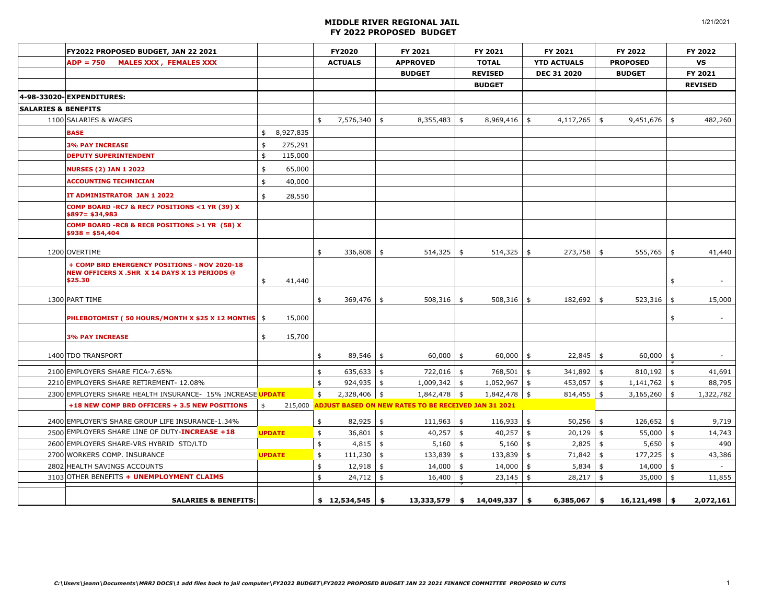|                                | FY2022 PROPOSED BUDGET, JAN 22 2021                                                                            |               |           | FY2020        |                  | FY 2021       |                                                              | FY 2021                   |                |               | FY 2021            |               | FY 2022         | FY 2022                        |
|--------------------------------|----------------------------------------------------------------------------------------------------------------|---------------|-----------|---------------|------------------|---------------|--------------------------------------------------------------|---------------------------|----------------|---------------|--------------------|---------------|-----------------|--------------------------------|
|                                | $ADP = 750$<br><b>MALES XXX, FEMALES XXX</b>                                                                   |               |           |               | <b>ACTUALS</b>   |               | <b>APPROVED</b>                                              |                           | <b>TOTAL</b>   |               | <b>YTD ACTUALS</b> |               | <b>PROPOSED</b> | <b>VS</b>                      |
|                                |                                                                                                                |               |           |               |                  |               | <b>BUDGET</b>                                                |                           | <b>REVISED</b> |               | <b>DEC 31 2020</b> |               | <b>BUDGET</b>   | FY 2021                        |
|                                |                                                                                                                |               |           |               |                  |               |                                                              |                           | <b>BUDGET</b>  |               |                    |               |                 | <b>REVISED</b>                 |
|                                | 4-98-33020-EXPENDITURES:                                                                                       |               |           |               |                  |               |                                                              |                           |                |               |                    |               |                 |                                |
| <b>SALARIES &amp; BENEFITS</b> |                                                                                                                |               |           |               |                  |               |                                                              |                           |                |               |                    |               |                 |                                |
|                                | 1100 SALARIES & WAGES                                                                                          |               |           | \$            | $7,576,340$ \$   |               | 8,355,483                                                    | \$                        | $8,969,416$ \$ |               | 4,117,265          | \$            | $9,451,676$ \$  | 482,260                        |
|                                | <b>BASE</b>                                                                                                    | \$            | 8,927,835 |               |                  |               |                                                              |                           |                |               |                    |               |                 |                                |
|                                | <b>3% PAY INCREASE</b>                                                                                         | \$            | 275,291   |               |                  |               |                                                              |                           |                |               |                    |               |                 |                                |
|                                | <b>DEPUTY SUPERINTENDENT</b>                                                                                   | $\frac{4}{5}$ | 115,000   |               |                  |               |                                                              |                           |                |               |                    |               |                 |                                |
|                                | <b>NURSES (2) JAN 1 2022</b>                                                                                   | \$            | 65,000    |               |                  |               |                                                              |                           |                |               |                    |               |                 |                                |
|                                | <b>ACCOUNTING TECHNICIAN</b>                                                                                   | \$            | 40,000    |               |                  |               |                                                              |                           |                |               |                    |               |                 |                                |
|                                | IT ADMINISTRATOR JAN 1 2022                                                                                    | \$            | 28,550    |               |                  |               |                                                              |                           |                |               |                    |               |                 |                                |
|                                | COMP BOARD -RC7 & REC7 POSITIONS <1 YR (39) X<br>$$897 = $34,983$                                              |               |           |               |                  |               |                                                              |                           |                |               |                    |               |                 |                                |
|                                | COMP BOARD -RC8 & REC8 POSITIONS >1 YR (58) X<br>$$938 = $54,404$                                              |               |           |               |                  |               |                                                              |                           |                |               |                    |               |                 |                                |
|                                | 1200 OVERTIME                                                                                                  |               |           | \$            | 336,808          | \$            | $514,325$ \$                                                 |                           | $514,325$ \$   |               | 273,758            | \$            | $555,765$ \$    | 41,440                         |
|                                | + COMP BRD EMERGENCY POSITIONS - NOV 2020-18<br><b>NEW OFFICERS X .5HR X 14 DAYS X 13 PERIODS @</b><br>\$25.30 | \$            | 41,440    |               |                  |               |                                                              |                           |                |               |                    |               |                 | \$<br>$\overline{\phantom{a}}$ |
|                                | 1300 PART TIME                                                                                                 |               |           | \$            | 369,476          | \$            | 508,316                                                      | \$                        | 508,316        | \$            | 182,692            | $\frac{1}{2}$ | 523,316         | \$<br>15,000                   |
|                                | <b>PHLEBOTOMIST ( 50 HOURS/MONTH X \$25 X 12 MONTHS   \$</b>                                                   |               | 15,000    |               |                  |               |                                                              |                           |                |               |                    |               |                 | \$<br>$\overline{\phantom{a}}$ |
|                                | <b>3% PAY INCREASE</b>                                                                                         | \$            | 15,700    |               |                  |               |                                                              |                           |                |               |                    |               |                 |                                |
|                                | 1400 TDO TRANSPORT                                                                                             |               |           | \$            | 89,546           | \$            | $60,000$ \$                                                  |                           | $60,000$ \$    |               | 22,845             | \$            | $60,000$ \$     | $\overline{\phantom{a}}$       |
|                                | 2100 EMPLOYERS SHARE FICA-7.65%                                                                                |               |           | \$            | $635,633$ \$     |               | $722,016$ \$                                                 |                           | 768,501 \$     |               | 341,892 \$         |               | $810,192$ \$    | 41,691                         |
|                                | 2210 EMPLOYERS SHARE RETIREMENT- 12.08%                                                                        |               |           | $\frac{1}{2}$ | 924,935          | $\frac{1}{2}$ | $1,009,342$ \$                                               |                           | $1,052,967$ \$ |               | 453,057 \$         |               | $1,141,762$ \$  | 88,795                         |
|                                | 2300 EMPLOYERS SHARE HEALTH INSURANCE- 15% INCREASE UPDATE                                                     |               |           | \$            | $2,328,406$ \$   |               | 1,842,478 \$                                                 |                           | $1,842,478$ \$ |               | $814,455$ \$       |               | $3,165,260$ \$  | 1,322,782                      |
|                                | +18 NEW COMP BRD OFFICERS + 3.5 NEW POSITIONS                                                                  | \$            |           |               |                  |               | 215,000 ADJUST BASED ON NEW RATES TO BE RECEIVED JAN 31 2021 |                           |                |               |                    |               |                 |                                |
|                                | 2400 EMPLOYER'S SHARE GROUP LIFE INSURANCE-1.34%                                                               |               |           | \$            | $82,925$ \$      |               | $111,963$ \$                                                 |                           | 116,933        | \$            | $50,256$ \$        |               | $126,652$ \$    | 9,719                          |
|                                | 2500 EMPLOYERS SHARE LINE OF DUTY-INCREASE +18                                                                 | <b>UPDATE</b> |           | \$            | 36,801           | $\frac{1}{2}$ | $40,257$ \$                                                  |                           | $40,257$ \$    |               | $20,129$ \$        |               | $55,000$ \$     | 14,743                         |
|                                | 2600 EMPLOYERS SHARE-VRS HYBRID STD/LTD                                                                        |               |           | \$            | 4,815            | \$            | 5,160                                                        | $\sqrt{5}$                | $5,160$ \$     |               | $2,825$ \$         |               | $5,650$ \$      | 490                            |
|                                | 2700 WORKERS COMP. INSURANCE                                                                                   | <b>UPDATE</b> |           | \$            | 111,230          | \$            | 133,839                                                      | \$                        | 133,839        | $\frac{1}{2}$ | $71,842$ \$        |               | $177,225$ \$    | 43,386                         |
|                                | 2802 HEALTH SAVINGS ACCOUNTS                                                                                   |               |           | $\frac{4}{5}$ | 12,918           | \$            | 14,000                                                       | $\frac{1}{2}$             | 14,000         | $\frac{4}{3}$ | 5,834              | \$            | $14,000$ \$     | $\sim$                         |
|                                | 3103 OTHER BENEFITS + UNEMPLOYMENT CLAIMS                                                                      |               |           | \$            | $24,712$ \$      |               | 16,400                                                       | $\overline{\mathfrak{s}}$ | 23,145         | $\frac{4}{3}$ | 28,217             | $\frac{4}{5}$ | $35,000$ \$     | 11,855                         |
|                                | <b>SALARIES &amp; BENEFITS:</b>                                                                                |               |           |               | $$12,534,545$ \$ |               | 13,333,579                                                   | -\$                       | 14,049,337     | \$            | 6,385,067          | \$            | 16,121,498      | \$<br>2,072,161                |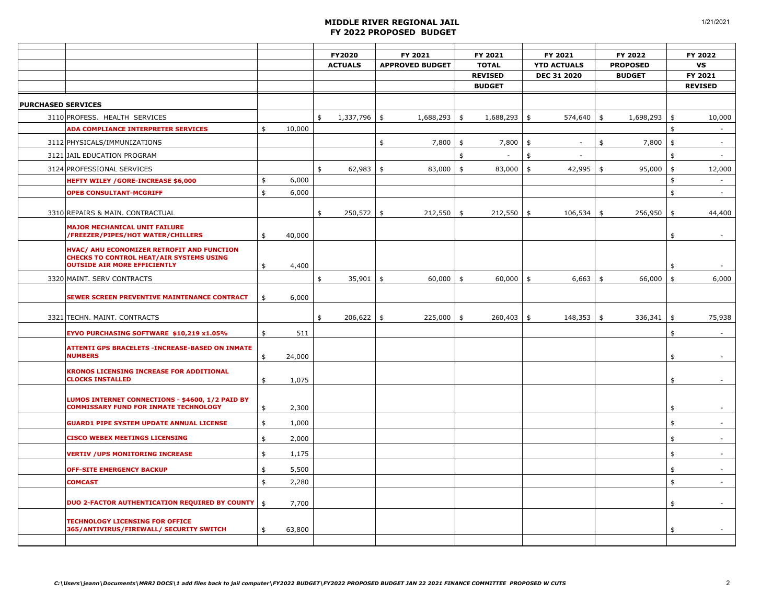|                                                                                                                                      |              | <b>FY2020</b><br><b>ACTUALS</b> |    | FY 2021<br><b>APPROVED BUDGET</b> |               | FY 2021                        |    | FY 2021                                  |               | FY 2022                          |               | FY 2022                  |
|--------------------------------------------------------------------------------------------------------------------------------------|--------------|---------------------------------|----|-----------------------------------|---------------|--------------------------------|----|------------------------------------------|---------------|----------------------------------|---------------|--------------------------|
|                                                                                                                                      |              |                                 |    |                                   |               | <b>TOTAL</b><br><b>REVISED</b> |    | <b>YTD ACTUALS</b><br><b>DEC 31 2020</b> |               | <b>PROPOSED</b><br><b>BUDGET</b> |               | VS<br>FY 2021            |
|                                                                                                                                      |              |                                 |    |                                   |               | <b>BUDGET</b>                  |    |                                          |               |                                  |               | <b>REVISED</b>           |
| <b>PURCHASED SERVICES</b>                                                                                                            |              |                                 |    |                                   |               |                                |    |                                          |               |                                  |               |                          |
| 3110 PROFESS. HEALTH SERVICES                                                                                                        |              | \$<br>$1,337,796$ \$            |    | 1,688,293                         | \$            | 1,688,293                      | \$ | 574,640                                  | \$            | 1,698,293                        | \$            | 10,000                   |
| ADA COMPLIANCE INTERPRETER SERVICES                                                                                                  | \$<br>10,000 |                                 |    |                                   |               |                                |    |                                          |               |                                  | \$            | $\sim$                   |
| 3112 PHYSICALS/IMMUNIZATIONS                                                                                                         |              |                                 | \$ | 7,800                             | $\frac{4}{5}$ | 7,800                          | \$ | $\sim$                                   | \$            | 7,800                            | $\frac{1}{2}$ | $\blacksquare$           |
| 3121 JAIL EDUCATION PROGRAM                                                                                                          |              |                                 |    |                                   | \$            | $\overline{\phantom{a}}$       | \$ | $\overline{\phantom{a}}$                 |               |                                  | \$            | $\mathbb{Z}^2$           |
| 3124 PROFESSIONAL SERVICES                                                                                                           |              | \$<br>$62,983$ \$               |    | $83,000$ \$                       |               | 83,000                         | \$ | 42,995                                   | $\frac{4}{3}$ | 95,000                           | \$            | 12,000                   |
| <b>HEFTY WILEY / GORE-INCREASE \$6,000</b>                                                                                           | \$<br>6,000  |                                 |    |                                   |               |                                |    |                                          |               |                                  | \$            | $\sim$                   |
| <b>OPEB CONSULTANT-MCGRIFF</b>                                                                                                       | \$<br>6,000  |                                 |    |                                   |               |                                |    |                                          |               |                                  | \$            | $\sim$                   |
| 3310 REPAIRS & MAIN. CONTRACTUAL                                                                                                     |              | \$<br>$250,572$ \$              |    | 212,550                           | $\frac{1}{2}$ | 212,550                        | \$ | 106,534                                  | \$            | 256,950                          | \$            | 44,400                   |
| <b>MAJOR MECHANICAL UNIT FAILURE</b><br>/FREEZER/PIPES/HOT WATER/CHILLERS                                                            | \$<br>40,000 |                                 |    |                                   |               |                                |    |                                          |               |                                  | \$            | $\sim$                   |
| HVAC/ AHU ECONOMIZER RETROFIT AND FUNCTION<br><b>CHECKS TO CONTROL HEAT/AIR SYSTEMS USING</b><br><b>OUTSIDE AIR MORE EFFICIENTLY</b> | \$<br>4,400  |                                 |    |                                   |               |                                |    |                                          |               |                                  | \$            |                          |
| 3320 MAINT. SERV CONTRACTS                                                                                                           |              | \$<br>$35,901$ \$               |    | $60,000$ \$                       |               | $60,000$ \$                    |    | 6,663                                    | \$            | $66,000$ \$                      |               | 6,000                    |
| SEWER SCREEN PREVENTIVE MAINTENANCE CONTRACT                                                                                         | \$<br>6,000  |                                 |    |                                   |               |                                |    |                                          |               |                                  |               |                          |
| 3321 TECHN. MAINT. CONTRACTS                                                                                                         |              | \$<br>206,622                   | \$ | 225,000                           | \$            | 260,403                        | \$ | 148,353                                  | \$            | 336,341                          | $\frac{4}{3}$ | 75,938                   |
| EYVO PURCHASING SOFTWARE \$10,219 x1.05%                                                                                             | \$<br>511    |                                 |    |                                   |               |                                |    |                                          |               |                                  | \$            | $\sim$                   |
| ATTENTI GPS BRACELETS - INCREASE-BASED ON INMATE<br><b>NUMBERS</b>                                                                   | \$<br>24,000 |                                 |    |                                   |               |                                |    |                                          |               |                                  | \$            | $\overline{\phantom{a}}$ |
| KRONOS LICENSING INCREASE FOR ADDITIONAL<br><b>CLOCKS INSTALLED</b>                                                                  | \$<br>1,075  |                                 |    |                                   |               |                                |    |                                          |               |                                  | \$            | $\overline{\phantom{a}}$ |
| LUMOS INTERNET CONNECTIONS - \$4600, 1/2 PAID BY<br><b>COMMISSARY FUND FOR INMATE TECHNOLOGY</b>                                     | \$<br>2,300  |                                 |    |                                   |               |                                |    |                                          |               |                                  | \$            |                          |
| <b>GUARD1 PIPE SYSTEM UPDATE ANNUAL LICENSE</b>                                                                                      | \$<br>1,000  |                                 |    |                                   |               |                                |    |                                          |               |                                  | \$            | $\sim$                   |
| <b>CISCO WEBEX MEETINGS LICENSING</b>                                                                                                | \$<br>2,000  |                                 |    |                                   |               |                                |    |                                          |               |                                  | \$            | $\sim$                   |
| <b>VERTIV / UPS MONITORING INCREASE</b>                                                                                              | \$<br>1,175  |                                 |    |                                   |               |                                |    |                                          |               |                                  | \$            | $\sim$                   |
| <b>OFF-SITE EMERGENCY BACKUP</b>                                                                                                     | \$<br>5,500  |                                 |    |                                   |               |                                |    |                                          |               |                                  | \$            | $\sim$                   |
| <b>COMCAST</b>                                                                                                                       | \$<br>2,280  |                                 |    |                                   |               |                                |    |                                          |               |                                  | \$            | $\blacksquare$           |
| <b>DUO 2-FACTOR AUTHENTICATION REQUIRED BY COUNTY</b>                                                                                | \$<br>7,700  |                                 |    |                                   |               |                                |    |                                          |               |                                  | \$            | $\overline{\phantom{a}}$ |
| <b>TECHNOLOGY LICENSING FOR OFFICE</b><br>365/ANTIVIRUS/FIREWALL/ SECURITY SWITCH                                                    | \$<br>63,800 |                                 |    |                                   |               |                                |    |                                          |               |                                  | \$            |                          |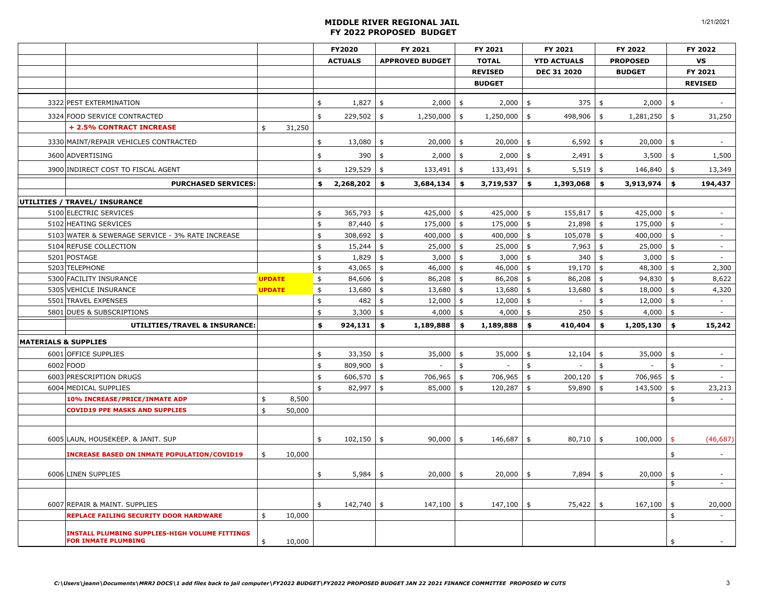|                                 |                                                                              |               |        | <b>FY2020</b>      |                | FY 2021       |                        |               | FY 2021                  |               | FY 2021                  |              | FY 2022         |                  | FY 2022                  |
|---------------------------------|------------------------------------------------------------------------------|---------------|--------|--------------------|----------------|---------------|------------------------|---------------|--------------------------|---------------|--------------------------|--------------|-----------------|------------------|--------------------------|
|                                 |                                                                              |               |        |                    | <b>ACTUALS</b> |               | <b>APPROVED BUDGET</b> |               | <b>TOTAL</b>             |               | <b>YTD ACTUALS</b>       |              | <b>PROPOSED</b> |                  | VS                       |
|                                 |                                                                              |               |        |                    |                |               |                        |               | <b>REVISED</b>           |               | DEC 31 2020              |              | <b>BUDGET</b>   |                  | FY 2021                  |
|                                 |                                                                              |               |        |                    |                |               |                        |               | <b>BUDGET</b>            |               |                          |              |                 |                  | <b>REVISED</b>           |
|                                 | 3322 PEST EXTERMINATION                                                      |               |        | \$                 | 1,827          | \$            | 2,000                  | \$            | 2,000                    | \$            | 375                      | \$           | 2,000           | \$               |                          |
|                                 | 3324 FOOD SERVICE CONTRACTED                                                 |               |        | \$                 | 229,502        | \$            | $1,250,000$ \$         |               | 1,250,000                | \$            | 498,906                  | \$           | 1,281,250       | \$               | 31,250                   |
|                                 | + 2.5% CONTRACT INCREASE                                                     | \$            | 31,250 |                    |                |               |                        |               |                          |               |                          |              |                 |                  |                          |
|                                 | 3330 MAINT/REPAIR VEHICLES CONTRACTED                                        |               |        | \$                 | 13,080         | \$            | 20,000                 | $\frac{1}{2}$ | 20,000                   | \$            | 6,592                    | \$           | 20,000          | \$               | $\overline{\phantom{a}}$ |
|                                 | 3600 ADVERTISING                                                             |               |        | \$                 | 390            | \$            | 2,000                  | \$            | 2,000                    | \$            | 2,491                    | \$           | 3,500           | \$               | 1,500                    |
|                                 | 3900 INDIRECT COST TO FISCAL AGENT                                           |               |        | \$                 | 129,529        | \$            | 133,491                | $\frac{1}{2}$ | 133,491                  | \$            | 5,519                    | \$           | 146,840         | \$               | 13,349                   |
|                                 | <b>PURCHASED SERVICES:</b>                                                   |               |        | \$                 | 2,268,202      | \$            | $3,684,134$ \$         |               | 3,719,537                | \$            | 1,393,068                | - \$         | 3,913,974       | $\ddot{\bullet}$ | 194,437                  |
|                                 | UTILITIES / TRAVEL/ INSURANCE                                                |               |        |                    |                |               |                        |               |                          |               |                          |              |                 |                  |                          |
|                                 | 5100 ELECTRIC SERVICES                                                       |               |        | \$                 | 365,793        | \$            | 425,000                | \$            | 425,000                  | \$            | 155,817                  | $\mathsf{s}$ | 425,000 \$      |                  | $\blacksquare$           |
|                                 | 5102 HEATING SERVICES                                                        |               |        | \$                 | 87,440         | \$            | 175,000                | $\frac{1}{2}$ | 175,000                  | $\frac{1}{2}$ | 21,898                   | \$           | 175,000         | \$               | $\mathcal{L}$            |
|                                 | 5103 WATER & SEWERAGE SERVICE - 3% RATE INCREASE                             |               |        | \$                 | 308,692        | \$            | 400,000                | \$            | 400,000                  | \$            | 105,078                  | \$           | 400,000         | \$               | $\overline{\phantom{a}}$ |
|                                 | 5104 REFUSE COLLECTION                                                       |               |        | \$                 | 15,244         | \$            | $25,000$ \$            |               | $25,000$ \$              |               | $7,963$ \$               |              | $25,000$ \$     |                  | $\overline{\phantom{a}}$ |
|                                 | 5201 POSTAGE                                                                 |               |        | \$                 | 1,829          | \$            | 3,000                  | \$            | 3,000                    | \$            | 340                      | \$           | 3,000           | \$               | $\sim$                   |
|                                 | 5203 TELEPHONE                                                               |               |        | \$                 | 43,065         | \$            | 46,000                 | $\frac{1}{2}$ | 46,000                   | \$            | 19,170                   | \$           | 48,300          | \$               | 2,300                    |
|                                 | 5300 FACILITY INSURANCE                                                      | <b>UPDATE</b> |        | \$                 | 84,606         | \$            | 86,208                 | \$            | 86,208                   | $\frac{4}{5}$ | 86,208                   | \$           | 94,830          | \$               | 8,622                    |
|                                 | 5305 VEHICLE INSURANCE                                                       | <b>UPDATE</b> |        | \$                 | 13,680         | \$            | 13,680                 | \$            | 13,680                   | \$            | 13,680                   | \$           | 18,000          | \$               | 4,320                    |
|                                 | 5501 TRAVEL EXPENSES                                                         |               |        | \$                 | 482            | \$            | 12,000                 | \$            | 12,000                   | \$            | $\overline{\phantom{a}}$ | \$           | 12,000          | \$               | $\sim$                   |
|                                 | 5801 DUES & SUBSCRIPTIONS                                                    |               |        | \$                 | 3,300          | \$            | 4,000                  | $\frac{1}{2}$ | 4,000                    | \$            | 250                      | \$           | 4,000           | \$               |                          |
|                                 | UTILITIES/TRAVEL & INSURANCE:                                                |               |        | \$                 | 924,131        | \$            | 1,189,888              | \$            | 1,189,888                | \$            | 410,404                  | \$           | 1,205,130       | \$               | 15,242                   |
| <b>MATERIALS &amp; SUPPLIES</b> |                                                                              |               |        |                    |                |               |                        |               |                          |               |                          |              |                 |                  |                          |
|                                 | 6001 OFFICE SUPPLIES                                                         |               |        | \$                 | 33,350         | \$            | 35,000                 | \$            | 35,000                   | \$            | 12,104                   | \$           | 35,000          | \$               | $\overline{\phantom{a}}$ |
|                                 | 6002 FOOD                                                                    |               |        | \$                 | 809,900        | \$            |                        | \$            | $\overline{\phantom{a}}$ | \$            | $\bar{a}$                | \$           |                 | \$               | $\sim$                   |
|                                 | 6003 PRESCRIPTION DRUGS                                                      |               |        | \$                 | 606,570        | \$            | 706,965                | $\frac{4}{3}$ | 706,965                  | \$            | 200,120                  | \$           | 706,965         | \$               | $\overline{a}$           |
|                                 | 6004 MEDICAL SUPPLIES                                                        |               |        | $\mathbf{\hat{z}}$ | 82,997         | \$            | 85,000                 | $\sqrt{2}$    | 120,287                  | \$            | 59,890                   | \$           | 143,500         | $\pmb{\$}$       | 23,213                   |
|                                 | 10% INCREASE/PRICE/INMATE ADP                                                | \$            | 8,500  |                    |                |               |                        |               |                          |               |                          |              |                 | \$               | $\sim$                   |
|                                 | <b>COVID19 PPE MASKS AND SUPPLIES</b>                                        | \$            | 50,000 |                    |                |               |                        |               |                          |               |                          |              |                 |                  |                          |
|                                 |                                                                              |               |        |                    |                |               |                        |               |                          |               |                          |              |                 |                  |                          |
|                                 | 6005 LAUN, HOUSEKEEP. & JANIT. SUP                                           |               |        | \$                 | 102,150        | \$            | 90,000                 | \$            | 146,687                  | \$            | 80,710                   | \$           | 100,000         | $\frac{1}{2}$    | (46, 687)                |
|                                 | <b>INCREASE BASED ON INMATE POPULATION/COVID19</b>                           | \$            | 10,000 |                    |                |               |                        |               |                          |               |                          |              |                 | \$               |                          |
|                                 |                                                                              |               |        |                    |                |               |                        |               |                          |               |                          |              |                 |                  |                          |
|                                 | 6006 LINEN SUPPLIES                                                          |               |        | \$                 | 5,984          | \$            | 20,000                 | \$            | 20,000                   | \$            | 7,894                    | \$           | 20,000          | \$               | $\blacksquare$           |
|                                 |                                                                              |               |        |                    |                |               |                        |               |                          |               |                          |              |                 | \$               |                          |
|                                 | 6007 REPAIR & MAINT. SUPPLIES                                                |               |        | \$                 | 142,740        | $\frac{1}{2}$ | $147,100$ \$           |               | 147,100                  | $\frac{1}{2}$ | 75,422                   | \$           | 167,100         | $\frac{4}{3}$    | 20,000                   |
|                                 | REPLACE FAILING SECURITY DOOR HARDWARE                                       | \$            | 10,000 |                    |                |               |                        |               |                          |               |                          |              |                 | $\frac{4}{3}$    | $\sim$                   |
|                                 | INSTALL PLUMBING SUPPLIES-HIGH VOLUME FITTINGS<br><b>FOR INMATE PLUMBING</b> | \$            | 10,000 |                    |                |               |                        |               |                          |               |                          |              |                 | \$               |                          |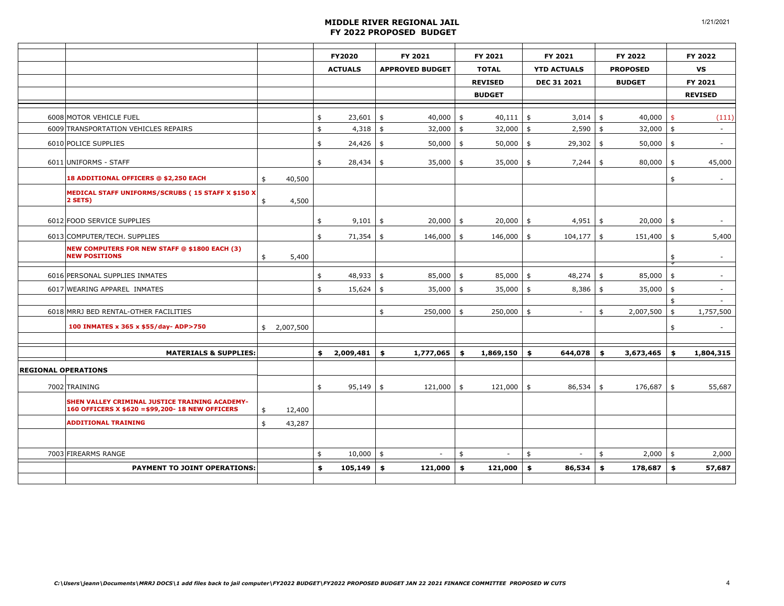|                                                                                                    |                 | FY2020<br><b>ACTUALS</b> |             | FY 2021<br><b>APPROVED BUDGET</b> |              | FY 2021<br><b>TOTAL</b><br><b>REVISED</b><br><b>BUDGET</b> |              |               | FY 2021<br><b>YTD ACTUALS</b><br>DEC 31 2021 |               | FY 2022<br><b>PROPOSED</b><br><b>BUDGET</b> |                     | FY 2022<br>VS<br>FY 2021 |
|----------------------------------------------------------------------------------------------------|-----------------|--------------------------|-------------|-----------------------------------|--------------|------------------------------------------------------------|--------------|---------------|----------------------------------------------|---------------|---------------------------------------------|---------------------|--------------------------|
|                                                                                                    |                 |                          |             |                                   |              |                                                            |              |               |                                              |               |                                             |                     | <b>REVISED</b>           |
| 6008 MOTOR VEHICLE FUEL                                                                            |                 | \$                       | 23,601      | \$                                | $40,000$ \$  |                                                            | $40,111$ \$  |               | 3,014                                        | \$            | 40,000                                      | $\mathsf{\$}$       | (111)                    |
| 6009 TRANSPORTATION VEHICLES REPAIRS                                                               |                 | \$                       | $4,318$ \$  |                                   | $32,000$ \$  |                                                            | 32,000       | $\frac{4}{5}$ | 2,590                                        | $\frac{4}{3}$ | $32,000$ \$                                 |                     | $\sim$                   |
| 6010 POLICE SUPPLIES                                                                               |                 | \$                       | $24,426$ \$ |                                   | $50,000$ \$  |                                                            | 50,000       | $\frac{4}{5}$ | $29,302$ \$                                  |               | $50,000$ \$                                 |                     | $\sim$                   |
| 6011 UNIFORMS - STAFF                                                                              |                 | \$                       | $28,434$ \$ |                                   | 35,000       | \$                                                         | 35,000       | \$            | 7,244                                        | \$            | 80,000                                      | $\frac{1}{2}$       | 45,000                   |
| 18 ADDITIONAL OFFICERS @ \$2,250 EACH                                                              | \$<br>40,500    |                          |             |                                   |              |                                                            |              |               |                                              |               |                                             | \$                  |                          |
| MEDICAL STAFF UNIFORMS/SCRUBS (15 STAFF X \$150 X<br>2 SETS)                                       | \$<br>4,500     |                          |             |                                   |              |                                                            |              |               |                                              |               |                                             |                     |                          |
| 6012 FOOD SERVICE SUPPLIES                                                                         |                 | \$                       | $9,101$ \$  |                                   | $20,000$ \$  |                                                            | 20,000       | \$            | 4,951                                        | \$            | $20,000$ \$                                 |                     |                          |
| 6013 COMPUTER/TECH. SUPPLIES                                                                       |                 | \$                       | $71,354$ \$ |                                   | $146,000$ \$ |                                                            | 146,000      | \$            | 104,177                                      | \$            | $151,400$ \$                                |                     | 5,400                    |
| <b>NEW COMPUTERS FOR NEW STAFF @ \$1800 EACH (3)</b><br><b>NEW POSITIONS</b>                       | \$<br>5,400     |                          |             |                                   |              |                                                            |              |               |                                              |               |                                             | \$                  | $\overline{\phantom{a}}$ |
| 6016 PERSONAL SUPPLIES INMATES                                                                     |                 | \$                       | $48,933$ \$ |                                   | $85,000$ \$  |                                                            | 85,000       | \$            | 48,274                                       | \$            | 85,000                                      | $\frac{1}{2}$       | $\sim$                   |
| 6017 WEARING APPAREL INMATES                                                                       |                 | \$                       | $15,624$ \$ |                                   | $35,000$ \$  |                                                            | 35,000       | \$            | 8,386                                        | \$            | 35,000                                      | \$                  | $\sim$                   |
| 6018 MRRJ BED RENTAL-OTHER FACILITIES                                                              |                 |                          |             | \$                                | $250,000$ \$ |                                                            | $250,000$ \$ |               | $\sim$                                       | \$            | 2,007,500                                   | \$<br>$\frac{1}{2}$ | 1,757,500                |
| 100 INMATES x 365 x \$55/day-ADP>750                                                               | \$<br>2,007,500 |                          |             |                                   |              |                                                            |              |               |                                              |               |                                             | \$                  |                          |
|                                                                                                    |                 |                          |             |                                   |              |                                                            |              |               |                                              |               |                                             |                     |                          |
| <b>MATERIALS &amp; SUPPLIES:</b>                                                                   |                 | \$                       | 2,009,481   | \$                                | 1,777,065    | \$                                                         | 1,869,150    | \$            | 644,078                                      | \$            | 3,673,465                                   | \$                  | 1,804,315                |
| <b>REGIONAL OPERATIONS</b>                                                                         |                 |                          |             |                                   |              |                                                            |              |               |                                              |               |                                             |                     |                          |
| 7002 TRAINING                                                                                      |                 | \$                       | $95,149$ \$ |                                   | $121,000$ \$ |                                                            | $121,000$ \$ |               | 86,534                                       | \$            | 176,687                                     | \$                  | 55,687                   |
| SHEN VALLEY CRIMINAL JUSTICE TRAINING ACADEMY-<br>160 OFFICERS X \$620 = \$99,200- 18 NEW OFFICERS | \$<br>12,400    |                          |             |                                   |              |                                                            |              |               |                                              |               |                                             |                     |                          |
| <b>ADDITIONAL TRAINING</b>                                                                         | \$<br>43,287    |                          |             |                                   |              |                                                            |              |               |                                              |               |                                             |                     |                          |
|                                                                                                    |                 |                          |             |                                   |              |                                                            |              |               |                                              |               |                                             |                     |                          |
| 7003 FIREARMS RANGE                                                                                |                 | \$                       | $10,000$ \$ |                                   |              | \$                                                         |              | \$            |                                              | \$            | $2,000$ \$                                  |                     | 2,000                    |
| <b>PAYMENT TO JOINT OPERATIONS:</b>                                                                |                 | \$                       | 105,149     | \$                                | 121,000      | \$                                                         | 121,000      | \$            | 86,534                                       | \$            | 178,687                                     | \$                  | 57,687                   |
|                                                                                                    |                 |                          |             |                                   |              |                                                            |              |               |                                              |               |                                             |                     |                          |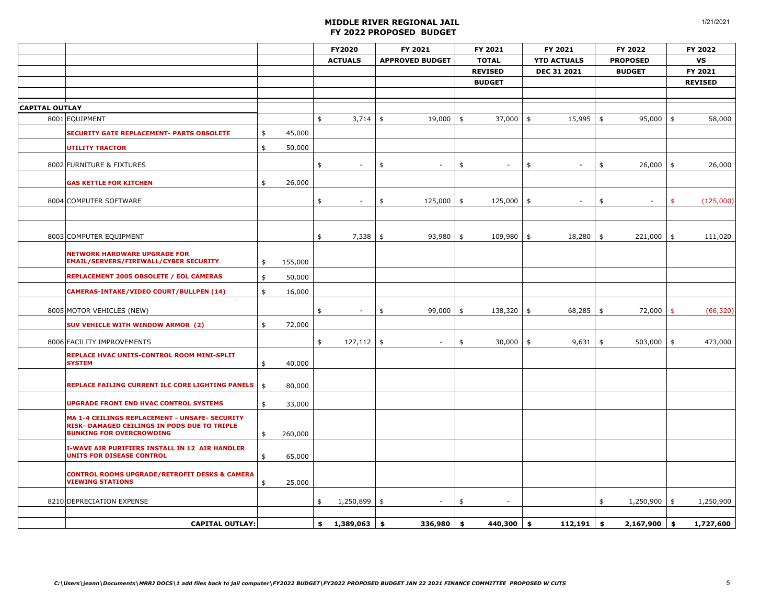|                       |                                                                                                                                   |                    |                  | FY2020          |            | FY 2021                | FY 2021        | FY 2021              | FY 2022                        |               | FY 2022        |
|-----------------------|-----------------------------------------------------------------------------------------------------------------------------------|--------------------|------------------|-----------------|------------|------------------------|----------------|----------------------|--------------------------------|---------------|----------------|
|                       |                                                                                                                                   |                    |                  | <b>ACTUALS</b>  |            | <b>APPROVED BUDGET</b> | <b>TOTAL</b>   | <b>YTD ACTUALS</b>   | <b>PROPOSED</b>                |               | VS             |
|                       |                                                                                                                                   |                    |                  |                 |            |                        | <b>REVISED</b> | <b>DEC 31 2021</b>   | <b>BUDGET</b>                  |               | FY 2021        |
|                       |                                                                                                                                   |                    |                  |                 |            |                        | <b>BUDGET</b>  |                      |                                |               | <b>REVISED</b> |
|                       |                                                                                                                                   |                    |                  |                 |            |                        |                |                      |                                |               |                |
| <b>CAPITAL OUTLAY</b> |                                                                                                                                   |                    |                  |                 |            |                        |                |                      |                                |               |                |
|                       | 8001 EQUIPMENT                                                                                                                    |                    |                  | \$<br>3,714     | \$         | 19,000                 | \$<br>37,000   | \$<br>15,995         | \$<br>95,000                   | \$            | 58,000         |
|                       | <b>SECURITY GATE REPLACEMENT- PARTS OBSOLETE</b>                                                                                  | \$                 | 45,000           |                 |            |                        |                |                      |                                |               |                |
|                       | <b>UTILITY TRACTOR</b>                                                                                                            | \$                 | 50,000           |                 |            |                        |                |                      |                                |               |                |
|                       | 8002 FURNITURE & FIXTURES                                                                                                         |                    |                  | \$              | \$         |                        | \$             | \$                   | \$<br>$26,000$ \$              |               | 26,000         |
|                       | <b>GAS KETTLE FOR KITCHEN</b>                                                                                                     | \$                 | 26,000           |                 |            |                        |                |                      |                                |               |                |
|                       | 8004 COMPUTER SOFTWARE                                                                                                            |                    |                  | \$              | \$         | 125,000                | \$<br>125,000  | \$<br>$\blacksquare$ | \$<br>$\overline{\phantom{a}}$ | \$            | (125,000)      |
|                       |                                                                                                                                   |                    |                  |                 |            |                        |                |                      |                                |               |                |
|                       | 8003 COMPUTER EQUIPMENT                                                                                                           |                    |                  | \$<br>7,338     | \$         | 93,980                 | \$<br>109,980  | \$<br>18,280         | \$<br>221,000                  | $\frac{1}{2}$ | 111,020        |
|                       | <b>NETWORK HARDWARE UPGRADE FOR</b><br>EMAIL/SERVERS/FIREWALL/CYBER SECURITY                                                      | \$                 | 155,000          |                 |            |                        |                |                      |                                |               |                |
|                       | REPLACEMENT 2005 OBSOLETE / EOL CAMERAS                                                                                           | \$                 | 50,000           |                 |            |                        |                |                      |                                |               |                |
|                       | CAMERAS-INTAKE/VIDEO COURT/BULLPEN (14)                                                                                           | \$                 | 16,000           |                 |            |                        |                |                      |                                |               |                |
|                       | 8005 MOTOR VEHICLES (NEW)                                                                                                         |                    |                  | \$              | \$         | 99,000                 | \$<br>138,320  | \$<br>68,285         | \$<br>$72,000$ \$              |               | (66, 320)      |
|                       | SUV VEHICLE WITH WINDOW ARMOR (2)                                                                                                 | \$                 | 72,000           |                 |            |                        |                |                      |                                |               |                |
|                       | 8006 FACILITY IMPROVEMENTS                                                                                                        |                    |                  | \$<br>127,112   | $\vert$ \$ | $\blacksquare$         | \$<br>30,000   | \$<br>9,631          | \$<br>503,000                  | $\frac{1}{2}$ | 473,000        |
|                       | REPLACE HVAC UNITS-CONTROL ROOM MINI-SPLIT                                                                                        |                    |                  |                 |            |                        |                |                      |                                |               |                |
|                       | <b>SYSTEM</b>                                                                                                                     | \$                 | 40,000           |                 |            |                        |                |                      |                                |               |                |
|                       | REPLACE FAILING CURRENT ILC CORE LIGHTING PANELS                                                                                  | $\mathbf{\hat{S}}$ | 80,000           |                 |            |                        |                |                      |                                |               |                |
|                       | <b>UPGRADE FRONT END HVAC CONTROL SYSTEMS</b>                                                                                     | \$                 | 33,000           |                 |            |                        |                |                      |                                |               |                |
|                       | MA 1-4 CEILINGS REPLACEMENT - UNSAFE- SECURITY<br>RISK- DAMAGED CEILINGS IN PODS DUE TO TRIPLE<br><b>BUNKING FOR OVERCROWDING</b> | \$                 | 260,000          |                 |            |                        |                |                      |                                |               |                |
|                       | <b>I-WAVE AIR PURIFIERS INSTALL IN 12 AIR HANDLER</b><br><b>UNITS FOR DISEASE CONTROL</b>                                         |                    |                  |                 |            |                        |                |                      |                                |               |                |
|                       | <b>CONTROL ROOMS UPGRADE/RETROFIT DESKS &amp; CAMERA</b><br><b>VIEWING STATIONS</b>                                               | \$<br>\$           | 65,000<br>25,000 |                 |            |                        |                |                      |                                |               |                |
|                       | 8210 DEPRECIATION EXPENSE                                                                                                         |                    |                  | \$<br>1,250,899 | $\vert$ \$ |                        | \$             |                      | \$<br>$1,250,900$ \$           |               | 1,250,900      |
|                       |                                                                                                                                   |                    |                  |                 |            |                        |                |                      |                                |               |                |
|                       | <b>CAPITAL OUTLAY:</b>                                                                                                            |                    |                  | \$<br>1,389,063 | \$         | 336,980                | \$<br>440,300  | \$<br>112,191        | \$<br>2,167,900                | \$            | 1,727,600      |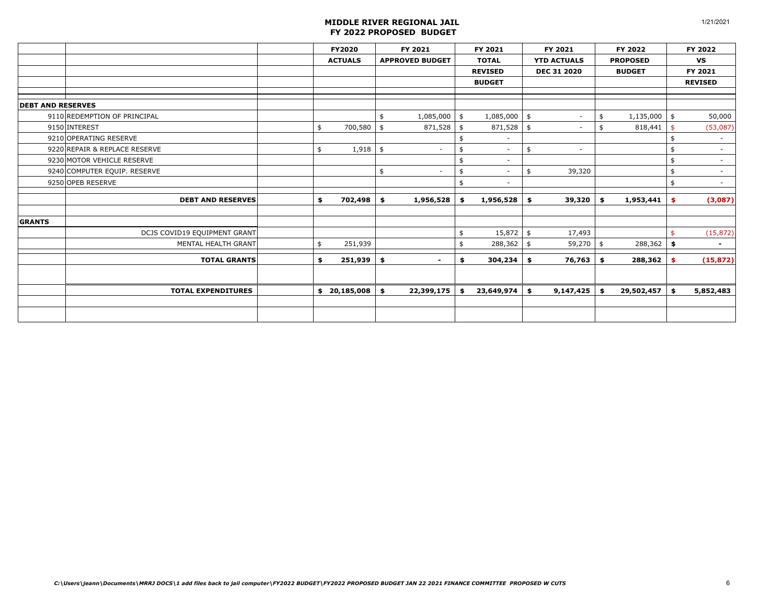|                               | FY2020         |    | FY 2021                  |    | FY 2021                  |    | FY 2021                  |     | FY 2022         | FY 2022                        |
|-------------------------------|----------------|----|--------------------------|----|--------------------------|----|--------------------------|-----|-----------------|--------------------------------|
|                               | <b>ACTUALS</b> |    | <b>APPROVED BUDGET</b>   |    | <b>TOTAL</b>             |    | <b>YTD ACTUALS</b>       |     | <b>PROPOSED</b> | VS                             |
|                               |                |    |                          |    | <b>REVISED</b>           |    | <b>DEC 31 2020</b>       |     | <b>BUDGET</b>   | FY 2021                        |
|                               |                |    |                          |    | <b>BUDGET</b>            |    |                          |     |                 | <b>REVISED</b>                 |
|                               |                |    |                          |    |                          |    |                          |     |                 |                                |
| <b>DEBT AND RESERVES</b>      |                |    |                          |    |                          |    |                          |     |                 |                                |
| 9110 REDEMPTION OF PRINCIPAL  |                | \$ | 1,085,000                | \$ | 1,085,000                | \$ | $\overline{\phantom{a}}$ | \$  | 1,135,000       | \$<br>50,000                   |
| 9150 INTEREST                 | \$<br>700,580  | \$ | 871,528                  | \$ | 871,528                  | \$ | $\overline{\phantom{a}}$ | -\$ | 818,441         | \$<br>(53,087)                 |
| 9210 OPERATING RESERVE        |                |    |                          | \$ |                          |    |                          |     |                 | \$<br>$\overline{\phantom{a}}$ |
| 9220 REPAIR & REPLACE RESERVE | \$<br>1,918    | \$ | $\overline{a}$           | \$ | $\blacksquare$           | \$ | $\overline{\phantom{a}}$ |     |                 | \$<br>$\sim$                   |
| 9230 MOTOR VEHICLE RESERVE    |                |    |                          | \$ | $\overline{\phantom{a}}$ |    |                          |     |                 | \$<br>$\sim$                   |
| 9240 COMPUTER EQUIP. RESERVE  |                | \$ | $\overline{\phantom{a}}$ | \$ | $\overline{\phantom{a}}$ | \$ | 39,320                   |     |                 | \$<br>$\sim$                   |
| 9250 OPEB RESERVE             |                |    |                          | \$ | $\overline{\phantom{a}}$ |    |                          |     |                 | \$<br>$\overline{\phantom{a}}$ |
| <b>DEBT AND RESERVES</b>      | \$<br>702,498  | \$ | 1,956,528                | \$ | 1,956,528                | \$ | 39,320                   | \$  | 1,953,441       | \$<br>(3,087)                  |
| <b>GRANTS</b>                 |                |    |                          |    |                          |    |                          |     |                 |                                |
| DCJS COVID19 EQUIPMENT GRANT  |                |    |                          | \$ | $15,872$ \$              |    | 17,493                   |     |                 | \$<br>(15, 872)                |
| MENTAL HEALTH GRANT           | \$<br>251,939  |    |                          | \$ | 288,362                  | \$ | 59,270                   | \$  | 288,362         | \$<br>$\blacksquare$           |
| <b>TOTAL GRANTS</b>           | \$<br>251,939  | \$ | $\sim$                   | \$ | 304,234                  | \$ | 76,763                   | \$  | 288,362         | \$<br>(15, 872)                |
|                               |                |    |                          |    |                          |    |                          |     |                 |                                |
| <b>TOTAL EXPENDITURES</b>     | \$20,185,008   | \$ | 22,399,175               | \$ | 23,649,974               | \$ | 9,147,425                | \$  | 29,502,457      | \$<br>5,852,483                |
|                               |                |    |                          |    |                          |    |                          |     |                 |                                |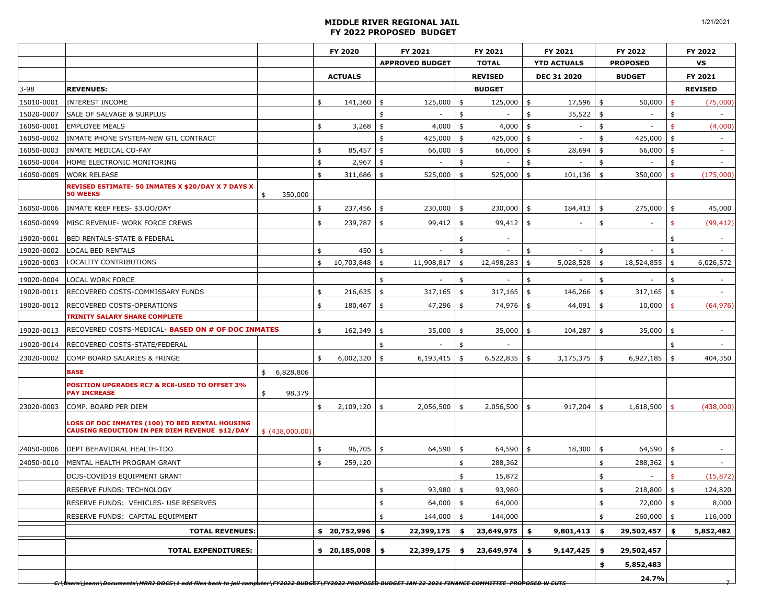|            |                                                                                                                                                                    |                 | FY 2020          |               | FY 2021                |               | FY 2021                  | FY 2021                        | FY 2022               |               | FY 2022                  |
|------------|--------------------------------------------------------------------------------------------------------------------------------------------------------------------|-----------------|------------------|---------------|------------------------|---------------|--------------------------|--------------------------------|-----------------------|---------------|--------------------------|
|            |                                                                                                                                                                    |                 |                  |               | <b>APPROVED BUDGET</b> |               | <b>TOTAL</b>             | <b>YTD ACTUALS</b>             | <b>PROPOSED</b>       |               | <b>VS</b>                |
|            |                                                                                                                                                                    |                 | <b>ACTUALS</b>   |               |                        |               | <b>REVISED</b>           | DEC 31 2020                    | <b>BUDGET</b>         |               | FY 2021                  |
| $3 - 98$   | <b>REVENUES:</b>                                                                                                                                                   |                 |                  |               |                        |               | <b>BUDGET</b>            |                                |                       |               | <b>REVISED</b>           |
| 15010-0001 | <b>INTEREST INCOME</b>                                                                                                                                             |                 | \$<br>141,360    | $\frac{4}{5}$ | 125,000                | $\frac{1}{2}$ | 125,000                  | \$<br>17,596                   | \$<br>50,000          | $\frac{1}{2}$ | (75,000)                 |
| 15020-0007 | <b>SALE OF SALVAGE &amp; SURPLUS</b>                                                                                                                               |                 |                  | \$            |                        | \$            |                          | \$<br>35,522                   | \$                    | \$            |                          |
| 16050-0001 | <b>EMPLOYEE MEALS</b>                                                                                                                                              |                 | \$<br>3,268      | \$            | 4,000                  | \$            | 4,000                    | \$<br>$\overline{\phantom{a}}$ | \$                    | \$            | (4,000)                  |
| 16050-0002 | INMATE PHONE SYSTEM-NEW GTL CONTRACT                                                                                                                               |                 |                  | \$            | 425,000                | \$            | 425,000                  | \$                             | \$<br>425,000         | \$            | $\sim$                   |
| 16050-0003 | INMATE MEDICAL CO-PAY                                                                                                                                              |                 | \$<br>85,457     | \$            | 66,000                 | \$            | 66,000                   | \$<br>28,694                   | \$<br>66,000          | \$            | $\sim$                   |
| 16050-0004 | HOME ELECTRONIC MONITORING                                                                                                                                         |                 | \$<br>2,967      | \$            |                        | \$            |                          | \$                             | \$                    | \$            |                          |
| 16050-0005 | <b>WORK RELEASE</b>                                                                                                                                                |                 | \$<br>311,686    | \$            | 525,000                | \$            | 525,000                  | \$<br>101,136                  | \$<br>350,000         | $\frac{4}{5}$ | (175,000)                |
|            | REVISED ESTIMATE- 50 INMATES X \$20/DAY X 7 DAYS X<br><b>50 WEEKS</b>                                                                                              | 350,000<br>\$   |                  |               |                        |               |                          |                                |                       |               |                          |
| 16050-0006 | INMATE KEEP FEES- \$3.00/DAY                                                                                                                                       |                 | \$<br>237,456    | $\frac{4}{3}$ | $230,000$ \$           |               | 230,000                  | \$<br>184,413                  | \$<br>275,000         | \$            | 45,000                   |
| 16050-0099 | MISC REVENUE- WORK FORCE CREWS                                                                                                                                     |                 | \$<br>239,787    | \$            | 99,412                 | \$            | 99,412                   | \$<br>$\overline{\phantom{a}}$ | \$                    | \$            | (99, 412)                |
| 19020-0001 | <b>BED RENTALS-STATE &amp; FEDERAL</b>                                                                                                                             |                 |                  |               |                        | \$            | $\overline{\phantom{a}}$ |                                |                       | \$            |                          |
| 19020-0002 | <b>LOCAL BED RENTALS</b>                                                                                                                                           |                 | \$<br>450        | \$            |                        | \$            |                          | \$                             | \$                    | \$            |                          |
| 19020-0003 | LOCALITY CONTRIBUTIONS                                                                                                                                             |                 | \$<br>10,703,848 | \$            | 11,908,817             | \$            | 12,498,283               | \$<br>5,028,528                | \$<br>18,524,855      | \$            | 6,026,572                |
| 19020-0004 | <b>LOCAL WORK FORCE</b>                                                                                                                                            |                 |                  | \$            |                        | \$            |                          | \$                             | \$                    | \$            |                          |
| 19020-0011 | <b>RECOVERED COSTS-COMMISSARY FUNDS</b>                                                                                                                            |                 | \$<br>216,635    | $\frac{1}{2}$ | 317,165                | \$            | 317,165                  | \$<br>146,266                  | \$<br>317,165         | $\frac{1}{2}$ |                          |
| 19020-0012 | <b>RECOVERED COSTS-OPERATIONS</b>                                                                                                                                  |                 | \$<br>180,467    | \$            | 47,296                 | \$            | 74,976                   | \$<br>44,091                   | \$<br>10,000          | \$            | (64, 976)                |
|            | <b>TRINITY SALARY SHARE COMPLETE</b>                                                                                                                               |                 |                  |               |                        |               |                          |                                |                       |               |                          |
| 19020-0013 | RECOVERED COSTS-MEDICAL- BASED ON # OF DOC INMATES                                                                                                                 |                 | \$<br>162,349    | \$            | 35,000                 | \$            | 35,000                   | \$<br>104,287                  | \$<br>35,000          | \$            |                          |
| 19020-0014 | <b>RECOVERED COSTS-STATE/FEDERAL</b>                                                                                                                               |                 |                  | \$            |                        | \$            |                          |                                |                       | \$            |                          |
| 23020-0002 | COMP BOARD SALARIES & FRINGE                                                                                                                                       |                 | \$<br>6,002,320  | \$            | 6,193,415              | \$            | 6,522,835                | \$<br>3,175,375                | \$<br>6,927,185       | \$            | 404,350                  |
|            | <b>BASE</b>                                                                                                                                                        | 6,828,806<br>\$ |                  |               |                        |               |                          |                                |                       |               |                          |
|            | POSITION UPGRADES RC7 & RC8-USED TO OFFSET 3%<br><b>PAY INCREASE</b>                                                                                               | \$<br>98,379    |                  |               |                        |               |                          |                                |                       |               |                          |
| 23020-0003 | COMP. BOARD PER DIEM                                                                                                                                               |                 | \$<br>2,109,120  | \$            | 2,056,500              | \$            | 2,056,500                | \$<br>917,204                  | \$<br>1,618,500       | $\frac{1}{2}$ | (438,000)                |
|            | LOSS OF DOC INMATES (100) TO BED RENTAL HOUSING<br><b>CAUSING REDUCTION IN PER DIEM REVENUE \$12/DAY</b>                                                           | \$ (438,000.00) |                  |               |                        |               |                          |                                |                       |               |                          |
| 24050-0006 | <b>DEPT BEHAVIORAL HEALTH-TDO</b>                                                                                                                                  |                 | \$<br>96,705     | \$            | 64,590                 | \$            | 64,590                   | \$<br>18,300                   | \$<br>64,590          | \$            | $\overline{\phantom{a}}$ |
| 24050-0010 | MENTAL HEALTH PROGRAM GRANT                                                                                                                                        |                 | \$<br>259,120    |               |                        | \$            | 288,362                  |                                | \$<br>288,362         | \$            | $\sim$                   |
|            | DCJS-COVID19 EQUIPMENT GRANT                                                                                                                                       |                 |                  |               |                        | \$            | 15,872                   |                                | \$                    | \$            | (15, 872)                |
|            | RESERVE FUNDS: TECHNOLOGY                                                                                                                                          |                 |                  | \$            | $93,980$ \$            |               | 93,980                   |                                | \$<br>$218,800$ \$    |               | 124,820                  |
|            | RESERVE FUNDS: VEHICLES- USE RESERVES                                                                                                                              |                 |                  | \$            | $64,000$ \$            |               | 64,000                   |                                | \$<br>$72,000$ \$     |               | 8,000                    |
|            | RESERVE FUNDS: CAPITAL EQUIPMENT                                                                                                                                   |                 |                  | \$            | 144,000                | \$            | 144,000                  |                                | \$<br>260,000         | \$            | 116,000                  |
|            | <b>TOTAL REVENUES:</b>                                                                                                                                             |                 | \$ 20,752,996    | \$            | 22,399,175             | \$            | 23,649,975               | \$<br>9,801,413                | \$<br>$29,502,457$ \$ |               | 5,852,482                |
|            | <b>TOTAL EXPENDITURES:</b>                                                                                                                                         |                 | \$20,185,008     | \$            | 22,399,175             | \$            | 23,649,974               | \$<br>9,147,425                | \$<br>29,502,457      |               |                          |
|            |                                                                                                                                                                    |                 |                  |               |                        |               |                          |                                | \$<br>5,852,483       |               |                          |
|            | <del>C:\Users\jeann\Documents\MRRJ DOCS\1 add files back to jail computer\FY2022 BUDGET\FY2022 PROPOSED BUDGET JAN 22 2021 FINANCE COMMITTEE_PROPOSED W CUTS</del> |                 |                  |               |                        |               |                          |                                | 24.7%                 |               |                          |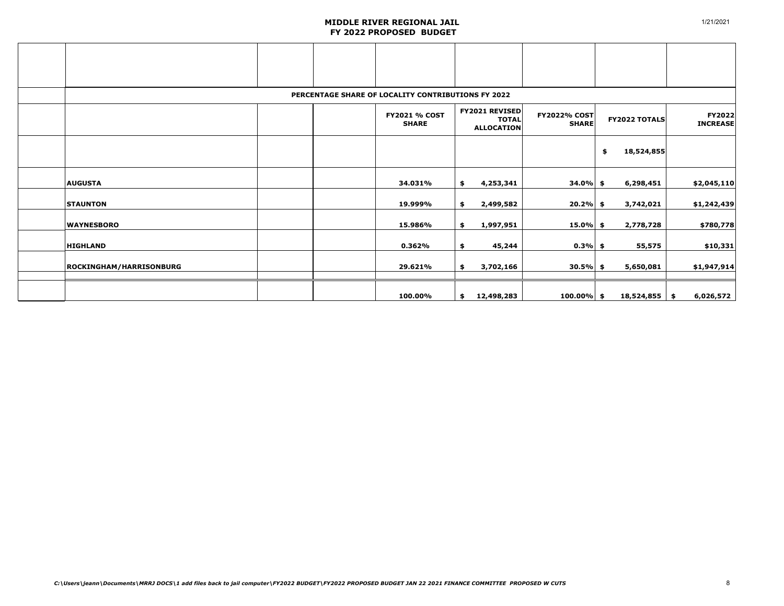|                                |  | PERCENTAGE SHARE OF LOCALITY CONTRIBUTIONS FY 2022 |                                                            |                                     |                      |                           |
|--------------------------------|--|----------------------------------------------------|------------------------------------------------------------|-------------------------------------|----------------------|---------------------------|
|                                |  | <b>FY2021 % COST</b><br><b>SHARE</b>               | <b>FY2021 REVISED</b><br><b>TOTAL</b><br><b>ALLOCATION</b> | <b>FY2022% COST</b><br><b>SHARE</b> | <b>FY2022 TOTALS</b> | FY2022<br><b>INCREASE</b> |
|                                |  |                                                    |                                                            |                                     | 18,524,855<br>\$     |                           |
| <b>AUGUSTA</b>                 |  | 34.031%                                            | \$<br>4,253,341                                            | $34.0\%$ \$                         | 6,298,451            | \$2,045,110               |
| <b>STAUNTON</b>                |  | 19.999%                                            | \$<br>2,499,582                                            | $20.2%$ \$                          | 3,742,021            | \$1,242,439               |
| <b>WAYNESBORO</b>              |  | 15.986%                                            | \$<br>1,997,951                                            | $15.0\%$ \$                         | 2,778,728            | \$780,778                 |
| <b>HIGHLAND</b>                |  | 0.362%                                             | \$<br>45,244                                               | $0.3\%$ \$                          | 55,575               | \$10,331                  |
| <b>ROCKINGHAM/HARRISONBURG</b> |  | 29.621%                                            | \$<br>3,702,166                                            | $30.5\%$ \$                         | 5,650,081            | \$1,947,914               |
|                                |  | 100.00%                                            | \$<br>12,498,283                                           | $100.00\%$ \$                       | $18,524,855$ \$      | 6,026,572                 |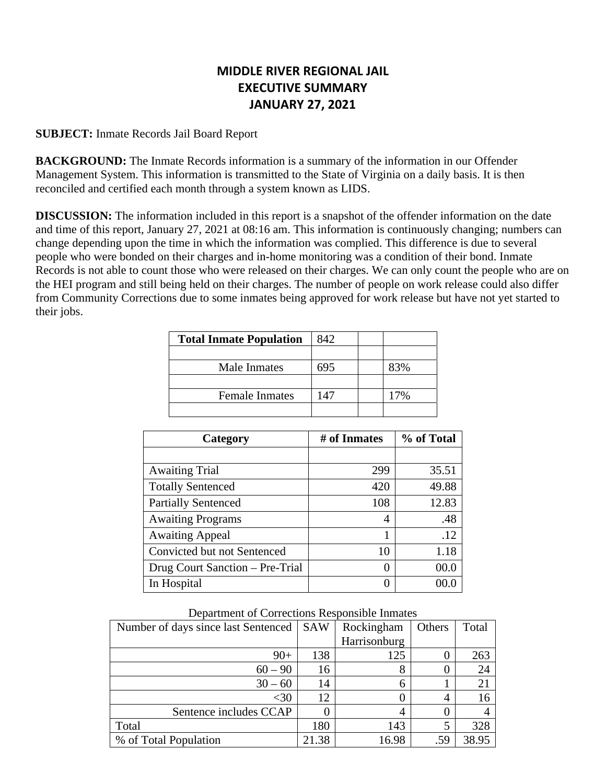# **MIDDLE RIVER REGIONAL JAIL EXECUTIVE SUMMARY JANUARY 27, 2021**

### **SUBJECT:** Inmate Records Jail Board Report

**BACKGROUND:** The Inmate Records information is a summary of the information in our Offender Management System. This information is transmitted to the State of Virginia on a daily basis. It is then reconciled and certified each month through a system known as LIDS.

**DISCUSSION:** The information included in this report is a snapshot of the offender information on the date and time of this report, January 27, 2021 at 08:16 am. This information is continuously changing; numbers can change depending upon the time in which the information was complied. This difference is due to several people who were bonded on their charges and in-home monitoring was a condition of their bond. Inmate Records is not able to count those who were released on their charges. We can only count the people who are on the HEI program and still being held on their charges. The number of people on work release could also differ from Community Corrections due to some inmates being approved for work release but have not yet started to their jobs.

| <b>Total Inmate Population</b> | 842  |     |
|--------------------------------|------|-----|
|                                |      |     |
| Male Inmates                   | 695  | 83% |
|                                |      |     |
| <b>Female Inmates</b>          | I 47 | 17% |
|                                |      |     |

| Category                        | # of Inmates | % of Total |
|---------------------------------|--------------|------------|
|                                 |              |            |
| <b>Awaiting Trial</b>           | 299          | 35.51      |
| <b>Totally Sentenced</b>        | 420          | 49.88      |
| <b>Partially Sentenced</b>      | 108          | 12.83      |
| <b>Awaiting Programs</b>        | 4            | .48        |
| <b>Awaiting Appeal</b>          |              | .12        |
| Convicted but not Sentenced     | 10           | 1.18       |
| Drug Court Sanction - Pre-Trial | $\theta$     | 00.0       |
| In Hospital                     |              | (C)        |

| Number of days since last Sentenced | SAW   | Rockingham   | Others | Total |
|-------------------------------------|-------|--------------|--------|-------|
|                                     |       | Harrisonburg |        |       |
| $90+$                               | 138   | 125          |        | 263   |
| $60 - 90$                           | 16    | 8            |        | 24    |
| $30 - 60$                           | 14    | h            |        | 21    |
| $<$ 30                              | 12    |              |        |       |
| Sentence includes CCAP              |       |              |        |       |
| Total                               | 180   | 143          |        | 328   |
| % of Total Population               | 21.38 | 16.98        | .59    | 38.95 |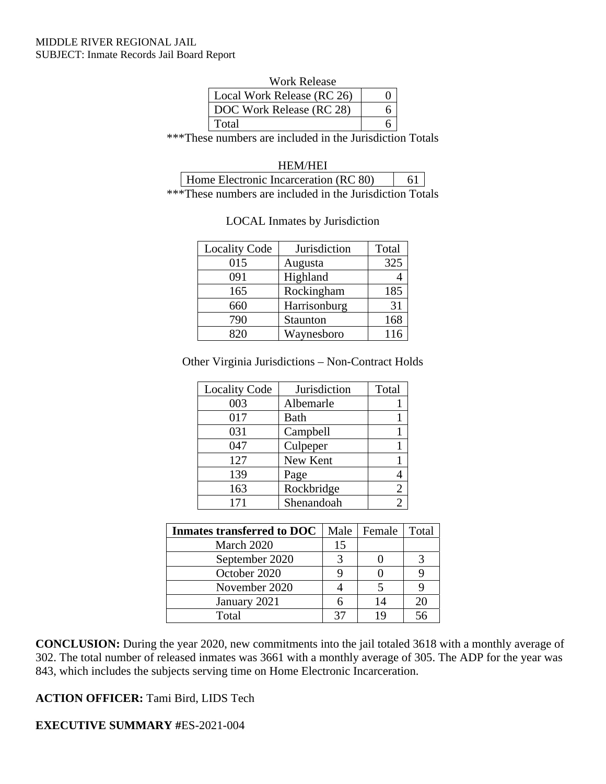#### MIDDLE RIVER REGIONAL JAIL SUBJECT: Inmate Records Jail Board Report

| Work Release               |  |
|----------------------------|--|
| Local Work Release (RC 26) |  |
| DOC Work Release (RC 28)   |  |
| Total                      |  |

\*\*\*These numbers are included in the Jurisdiction Totals

HEM/HEI

Home Electronic Incarceration (RC 80) 61 \*\*\*These numbers are included in the Jurisdiction Totals

| <b>Locality Code</b> | Jurisdiction | Total |
|----------------------|--------------|-------|
| 015                  | Augusta      | 325   |
| 091                  | Highland     |       |
| 165                  | Rockingham   | 185   |
| 660                  | Harrisonburg | 31    |
| 790                  | Staunton     | 168   |
|                      | Waynesboro   | 116   |

#### LOCAL Inmates by Jurisdiction

Other Virginia Jurisdictions – Non-Contract Holds

| <b>Locality Code</b> | Jurisdiction | Total |
|----------------------|--------------|-------|
| 003                  | Albemarle    |       |
| 017                  | Bath         |       |
| 031                  | Campbell     |       |
| 047                  | Culpeper     |       |
| 127                  | New Kent     |       |
| 139                  | Page         |       |
| 163                  | Rockbridge   |       |
| 171                  | Shenandoah   |       |

| <b>Inmates transferred to DOC</b> |    | Male   Female | Total |
|-----------------------------------|----|---------------|-------|
| March 2020                        | 15 |               |       |
| September 2020                    |    |               |       |
| October 2020                      |    |               |       |
| November 2020                     |    |               |       |
| January 2021                      |    | 14            |       |
| Total                             |    | 1 C           |       |

**CONCLUSION:** During the year 2020, new commitments into the jail totaled 3618 with a monthly average of 302. The total number of released inmates was 3661 with a monthly average of 305. The ADP for the year was 843, which includes the subjects serving time on Home Electronic Incarceration.

**ACTION OFFICER:** Tami Bird, LIDS Tech

**EXECUTIVE SUMMARY #**ES-2021-004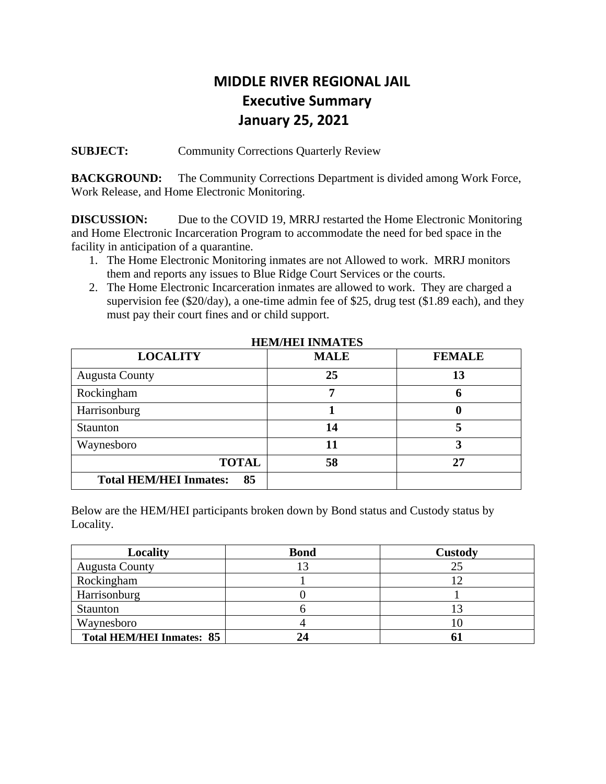# **MIDDLE RIVER REGIONAL JAIL Executive Summary January 25, 2021**

**SUBJECT:** Community Corrections Quarterly Review

**BACKGROUND:** The Community Corrections Department is divided among Work Force, Work Release, and Home Electronic Monitoring.

**DISCUSSION:** Due to the COVID 19, MRRJ restarted the Home Electronic Monitoring and Home Electronic Incarceration Program to accommodate the need for bed space in the facility in anticipation of a quarantine.

- 1. The Home Electronic Monitoring inmates are not Allowed to work. MRRJ monitors them and reports any issues to Blue Ridge Court Services or the courts.
- 2. The Home Electronic Incarceration inmates are allowed to work. They are charged a supervision fee (\$20/day), a one-time admin fee of \$25, drug test (\$1.89 each), and they must pay their court fines and or child support.

| <b>LOCALITY</b>                     | <b>MALE</b> | <b>FEMALE</b> |
|-------------------------------------|-------------|---------------|
| <b>Augusta County</b>               | 25          | 13            |
| Rockingham                          |             | o             |
| Harrisonburg                        |             | U             |
| <b>Staunton</b>                     | 14          |               |
| Waynesboro                          |             | 3             |
| <b>TOTAL</b>                        | 58          | 27            |
| <b>Total HEM/HEI Inmates:</b><br>85 |             |               |

 **HEM/HEI INMATES** 

Below are the HEM/HEI participants broken down by Bond status and Custody status by Locality.

| Locality                         | <b>Bond</b> | <b>Custody</b> |
|----------------------------------|-------------|----------------|
| <b>Augusta County</b>            |             | 25             |
| Rockingham                       |             | ר ו            |
| Harrisonburg                     |             |                |
| Staunton                         |             |                |
| Waynesboro                       |             | ΙU             |
| <b>Total HEM/HEI Inmates: 85</b> |             |                |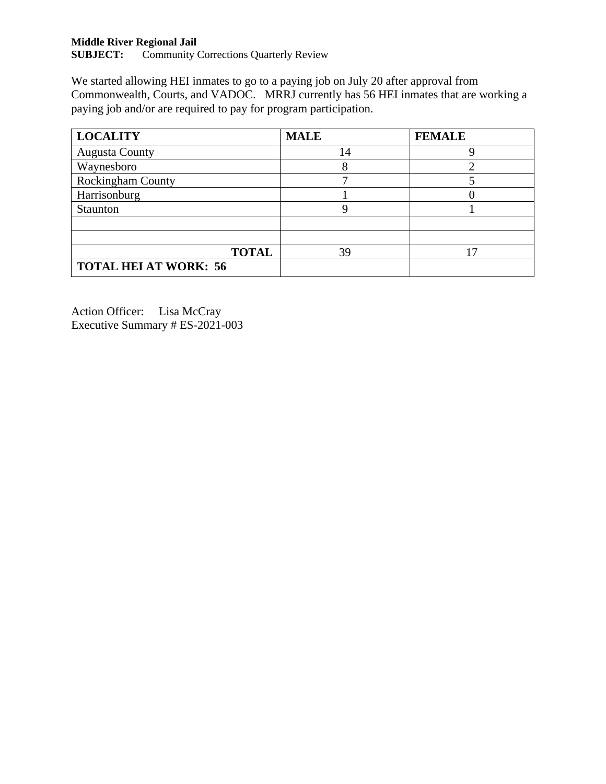# **Middle River Regional Jail**

Community Corrections Quarterly Review

We started allowing HEI inmates to go to a paying job on July 20 after approval from Commonwealth, Courts, and VADOC. MRRJ currently has 56 HEI inmates that are working a paying job and/or are required to pay for program participation.

| <b>LOCALITY</b>              | <b>MALE</b> | <b>FEMALE</b> |
|------------------------------|-------------|---------------|
| <b>Augusta County</b>        | 14          |               |
| Waynesboro                   |             |               |
| <b>Rockingham County</b>     |             |               |
| Harrisonburg                 |             |               |
| Staunton                     |             |               |
|                              |             |               |
|                              |             |               |
| <b>TOTAL</b>                 | 39          |               |
| <b>TOTAL HEI AT WORK: 56</b> |             |               |

Action Officer: Lisa McCray Executive Summary # ES-2021-003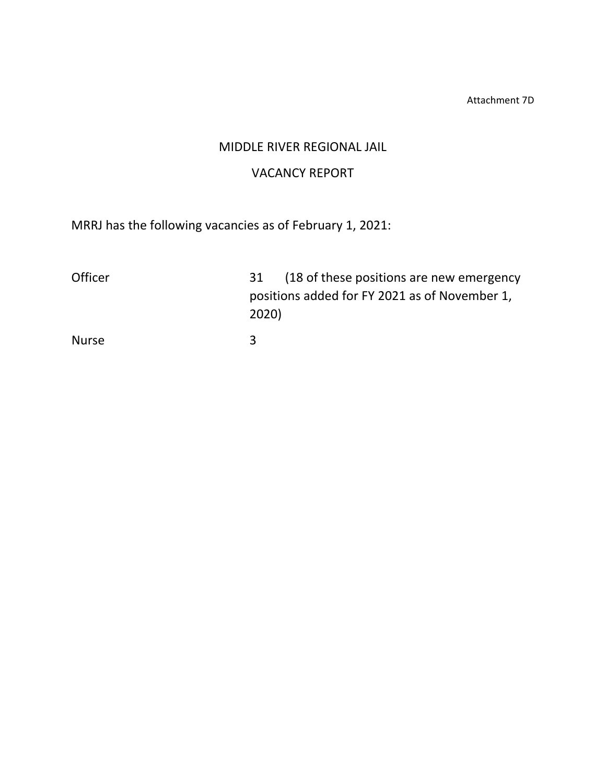Attachment 7D

# MIDDLE RIVER REGIONAL JAIL

# VACANCY REPORT

MRRJ has the following vacancies as of February 1, 2021:

| Officer      | 31 (18 of these positions are new emergency            |
|--------------|--------------------------------------------------------|
|              | positions added for FY 2021 as of November 1,<br>2020) |
|              | ર                                                      |
| <b>Nurse</b> |                                                        |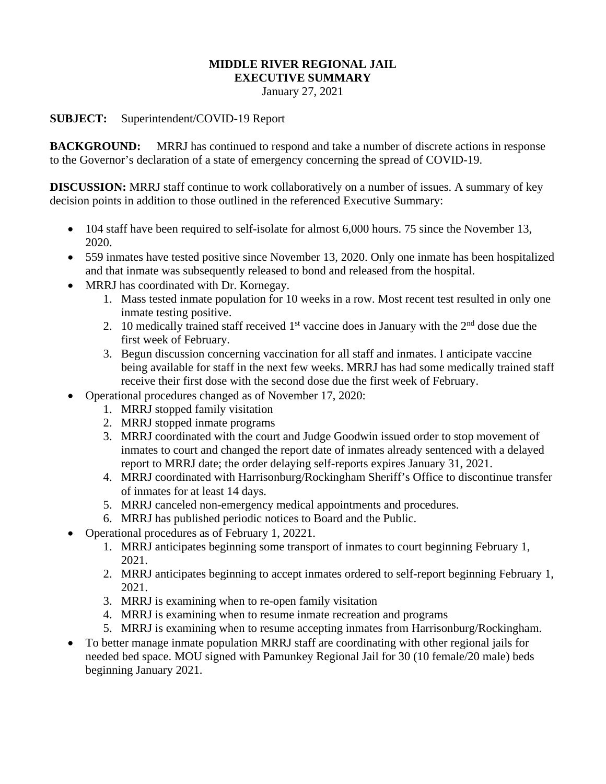# **MIDDLE RIVER REGIONAL JAIL**

**EXECUTIVE SUMMARY** 

January 27, 2021

# **SUBJECT:** Superintendent/COVID-19 Report

**BACKGROUND:** MRRJ has continued to respond and take a number of discrete actions in response to the Governor's declaration of a state of emergency concerning the spread of COVID-19.

**DISCUSSION:** MRRJ staff continue to work collaboratively on a number of issues. A summary of key decision points in addition to those outlined in the referenced Executive Summary:

- 104 staff have been required to self-isolate for almost 6,000 hours. 75 since the November 13, 2020.
- 559 inmates have tested positive since November 13, 2020. Only one inmate has been hospitalized and that inmate was subsequently released to bond and released from the hospital.
- MRRJ has coordinated with Dr. Kornegay.
	- 1. Mass tested inmate population for 10 weeks in a row. Most recent test resulted in only one inmate testing positive.
	- 2. 10 medically trained staff received  $1<sup>st</sup>$  vaccine does in January with the  $2<sup>nd</sup>$  dose due the first week of February.
	- 3. Begun discussion concerning vaccination for all staff and inmates. I anticipate vaccine being available for staff in the next few weeks. MRRJ has had some medically trained staff receive their first dose with the second dose due the first week of February.
- Operational procedures changed as of November 17, 2020:
	- 1. MRRJ stopped family visitation
	- 2. MRRJ stopped inmate programs
	- 3. MRRJ coordinated with the court and Judge Goodwin issued order to stop movement of inmates to court and changed the report date of inmates already sentenced with a delayed report to MRRJ date; the order delaying self-reports expires January 31, 2021.
	- 4. MRRJ coordinated with Harrisonburg/Rockingham Sheriff's Office to discontinue transfer of inmates for at least 14 days.
	- 5. MRRJ canceled non-emergency medical appointments and procedures.
	- 6. MRRJ has published periodic notices to Board and the Public.
- Operational procedures as of February 1, 20221.
	- 1. MRRJ anticipates beginning some transport of inmates to court beginning February 1, 2021.
	- 2. MRRJ anticipates beginning to accept inmates ordered to self-report beginning February 1, 2021.
	- 3. MRRJ is examining when to re-open family visitation
	- 4. MRRJ is examining when to resume inmate recreation and programs
	- 5. MRRJ is examining when to resume accepting inmates from Harrisonburg/Rockingham.
- To better manage inmate population MRRJ staff are coordinating with other regional jails for needed bed space. MOU signed with Pamunkey Regional Jail for 30 (10 female/20 male) beds beginning January 2021.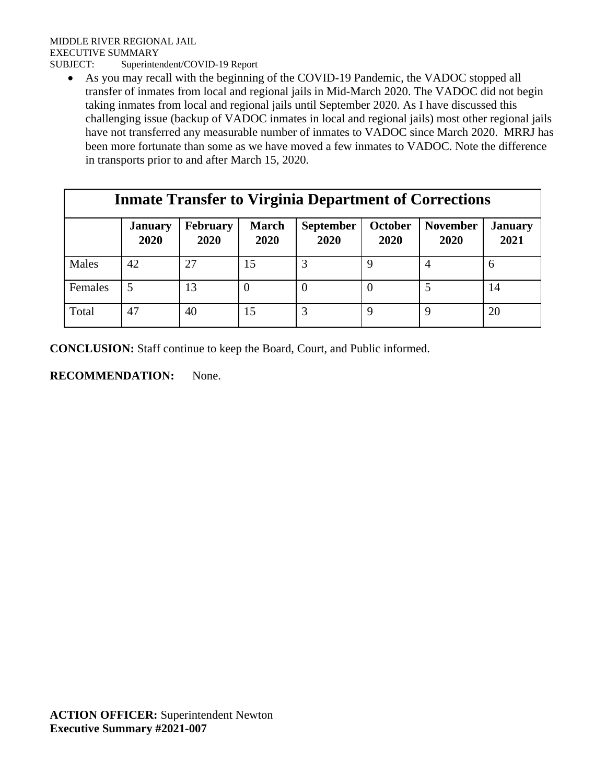As you may recall with the beginning of the COVID-19 Pandemic, the VADOC stopped all transfer of inmates from local and regional jails in Mid-March 2020. The VADOC did not begin taking inmates from local and regional jails until September 2020. As I have discussed this challenging issue (backup of VADOC inmates in local and regional jails) most other regional jails have not transferred any measurable number of inmates to VADOC since March 2020. MRRJ has been more fortunate than some as we have moved a few inmates to VADOC. Note the difference in transports prior to and after March 15, 2020.

| <b>Inmate Transfer to Virginia Department of Corrections</b> |                        |                  |                      |                          |                 |                         |                        |
|--------------------------------------------------------------|------------------------|------------------|----------------------|--------------------------|-----------------|-------------------------|------------------------|
|                                                              | <b>January</b><br>2020 | February<br>2020 | <b>March</b><br>2020 | <b>September</b><br>2020 | October<br>2020 | <b>November</b><br>2020 | <b>January</b><br>2021 |
| Males                                                        | 42                     | 27               | 15                   | 3                        |                 | 4                       |                        |
| Females                                                      | 5                      | 13               | $\theta$             | $\theta$                 |                 |                         | 14                     |
| Total                                                        | 47                     | 40               | 15                   | 3                        | 9               | Q                       | 20                     |

**CONCLUSION:** Staff continue to keep the Board, Court, and Public informed.

# **RECOMMENDATION:** None.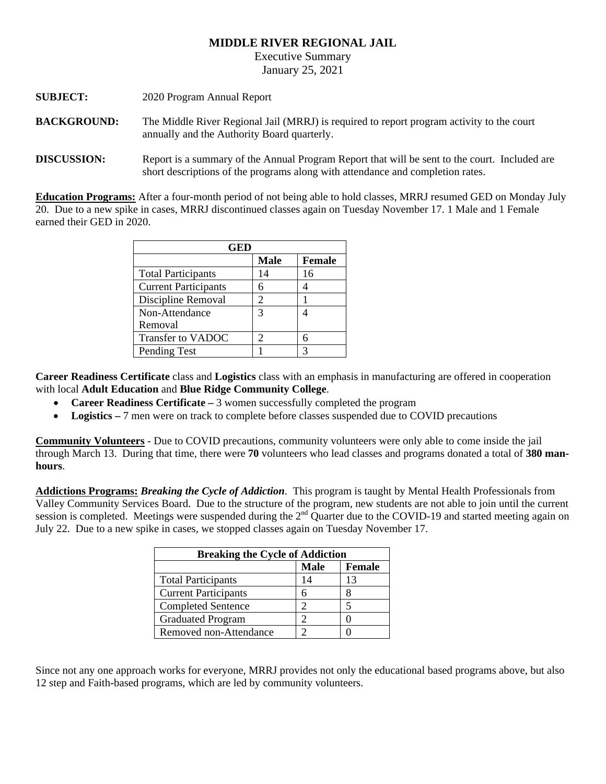#### **MIDDLE RIVER REGIONAL JAIL**

Executive Summary

January 25, 2021

| <b>SUBJECT:</b>    | 2020 Program Annual Report                                                                                                               |
|--------------------|------------------------------------------------------------------------------------------------------------------------------------------|
| <b>BACKGROUND:</b> | The Middle River Regional Jail (MRRJ) is required to report program activity to the court<br>annually and the Authority Board quarterly. |
| <b>DIGOLIGALAN</b> | ווודו וליווי ווווי היום הווויות היום והיום והיום והיום היום היו                                                                          |

**DISCUSSION:** Report is a summary of the Annual Program Report that will be sent to the court. Included are short descriptions of the programs along with attendance and completion rates.

**Education Programs:** After a four-month period of not being able to hold classes, MRRJ resumed GED on Monday July 20. Due to a new spike in cases, MRRJ discontinued classes again on Tuesday November 17. 1 Male and 1 Female earned their GED in 2020.

| GED                         |                             |               |  |
|-----------------------------|-----------------------------|---------------|--|
|                             | <b>Male</b>                 | <b>Female</b> |  |
| <b>Total Participants</b>   | 14                          | 16            |  |
| <b>Current Participants</b> |                             |               |  |
| Discipline Removal          | $\mathcal{D}_{\mathcal{A}}$ |               |  |
| Non-Attendance              | $\mathcal{R}$               |               |  |
| Removal                     |                             |               |  |
| Transfer to VADOC           |                             | 6             |  |
| Pending Test                |                             | 3             |  |

**Career Readiness Certificate** class and **Logistics** class with an emphasis in manufacturing are offered in cooperation with local **Adult Education** and **Blue Ridge Community College**.

- **Career Readiness Certificate 3** women successfully completed the program
- **Logistics** 7 men were on track to complete before classes suspended due to COVID precautions

**Community Volunteers** - Due to COVID precautions, community volunteers were only able to come inside the jail through March 13. During that time, there were **70** volunteers who lead classes and programs donated a total of **380 manhours**.

**Addictions Programs:** *Breaking the Cycle of Addiction*. This program is taught by Mental Health Professionals from Valley Community Services Board. Due to the structure of the program, new students are not able to join until the current session is completed. Meetings were suspended during the  $2<sup>nd</sup>$  Quarter due to the COVID-19 and started meeting again on July 22. Due to a new spike in cases, we stopped classes again on Tuesday November 17.

| <b>Breaking the Cycle of Addiction</b> |             |        |  |
|----------------------------------------|-------------|--------|--|
|                                        | <b>Male</b> | Female |  |
| <b>Total Participants</b>              | 14          | 13     |  |
| <b>Current Participants</b>            | 6           |        |  |
| <b>Completed Sentence</b>              |             |        |  |
| <b>Graduated Program</b>               |             |        |  |
| Removed non-Attendance                 |             |        |  |

Since not any one approach works for everyone, MRRJ provides not only the educational based programs above, but also 12 step and Faith-based programs, which are led by community volunteers.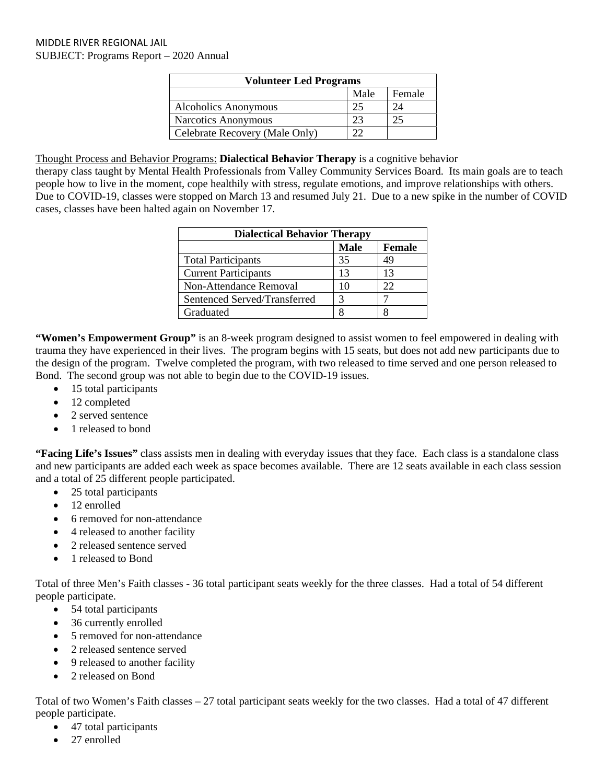| <b>Volunteer Led Programs</b>  |      |        |  |
|--------------------------------|------|--------|--|
|                                | Male | Female |  |
| <b>Alcoholics Anonymous</b>    | 25   | 24     |  |
| Narcotics Anonymous            | 23   |        |  |
| Celebrate Recovery (Male Only) |      |        |  |

Thought Process and Behavior Programs: **Dialectical Behavior Therapy** is a cognitive behavior

therapy class taught by Mental Health Professionals from Valley Community Services Board. Its main goals are to teach people how to live in the moment, cope healthily with stress, regulate emotions, and improve relationships with others. Due to COVID-19, classes were stopped on March 13 and resumed July 21. Due to a new spike in the number of COVID cases, classes have been halted again on November 17.

| <b>Dialectical Behavior Therapy</b> |             |               |  |
|-------------------------------------|-------------|---------------|--|
|                                     | <b>Male</b> | <b>Female</b> |  |
| <b>Total Participants</b>           | 35          | 49            |  |
| <b>Current Participants</b>         | 13          | 13            |  |
| Non-Attendance Removal              | 10          | 22            |  |
| Sentenced Served/Transferred        |             |               |  |
| Graduated                           |             |               |  |

**"Women's Empowerment Group"** is an 8-week program designed to assist women to feel empowered in dealing with trauma they have experienced in their lives. The program begins with 15 seats, but does not add new participants due to the design of the program. Twelve completed the program, with two released to time served and one person released to Bond. The second group was not able to begin due to the COVID-19 issues.

- 15 total participants
- 12 completed
- 2 served sentence
- 1 released to bond

**"Facing Life's Issues"** class assists men in dealing with everyday issues that they face. Each class is a standalone class and new participants are added each week as space becomes available. There are 12 seats available in each class session and a total of 25 different people participated.

- 25 total participants
- 12 enrolled
- 6 removed for non-attendance
- 4 released to another facility
- 2 released sentence served
- 1 released to Bond

Total of three Men's Faith classes - 36 total participant seats weekly for the three classes. Had a total of 54 different people participate.

- 54 total participants
- 36 currently enrolled
- 5 removed for non-attendance
- 2 released sentence served
- 9 released to another facility
- 2 released on Bond

Total of two Women's Faith classes – 27 total participant seats weekly for the two classes. Had a total of 47 different people participate.

- 47 total participants
- 27 enrolled